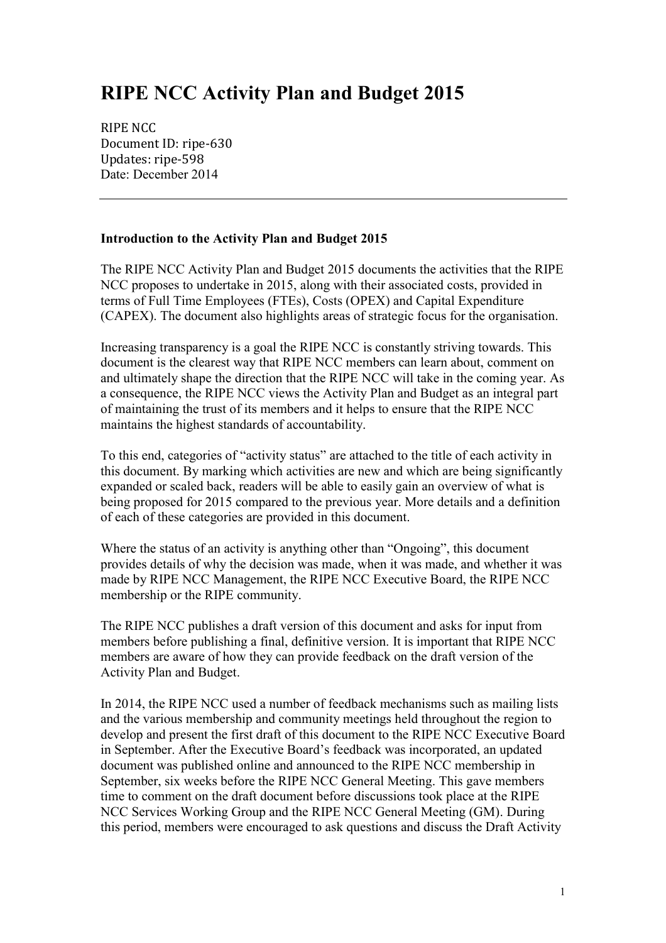# **RIPE NCC Activity Plan and Budget 2015**

RIPE NCC Document ID: ripe-630 Updates: ripe-598 Date: December 2014

#### **Introduction to the Activity Plan and Budget 2015**

The RIPE NCC Activity Plan and Budget 2015 documents the activities that the RIPE NCC proposes to undertake in 2015, along with their associated costs, provided in terms of Full Time Employees (FTEs), Costs (OPEX) and Capital Expenditure (CAPEX). The document also highlights areas of strategic focus for the organisation.

Increasing transparency is a goal the RIPE NCC is constantly striving towards. This document is the clearest way that RIPE NCC members can learn about, comment on and ultimately shape the direction that the RIPE NCC will take in the coming year. As a consequence, the RIPE NCC views the Activity Plan and Budget as an integral part of maintaining the trust of its members and it helps to ensure that the RIPE NCC maintains the highest standards of accountability.

To this end, categories of "activity status" are attached to the title of each activity in this document. By marking which activities are new and which are being significantly expanded or scaled back, readers will be able to easily gain an overview of what is being proposed for 2015 compared to the previous year. More details and a definition of each of these categories are provided in this document.

Where the status of an activity is anything other than "Ongoing", this document provides details of why the decision was made, when it was made, and whether it was made by RIPE NCC Management, the RIPE NCC Executive Board, the RIPE NCC membership or the RIPE community.

The RIPE NCC publishes a draft version of this document and asks for input from members before publishing a final, definitive version. It is important that RIPE NCC members are aware of how they can provide feedback on the draft version of the Activity Plan and Budget.

In 2014, the RIPE NCC used a number of feedback mechanisms such as mailing lists and the various membership and community meetings held throughout the region to develop and present the first draft of this document to the RIPE NCC Executive Board in September. After the Executive Board's feedback was incorporated, an updated document was published online and announced to the RIPE NCC membership in September, six weeks before the RIPE NCC General Meeting. This gave members time to comment on the draft document before discussions took place at the RIPE NCC Services Working Group and the RIPE NCC General Meeting (GM). During this period, members were encouraged to ask questions and discuss the Draft Activity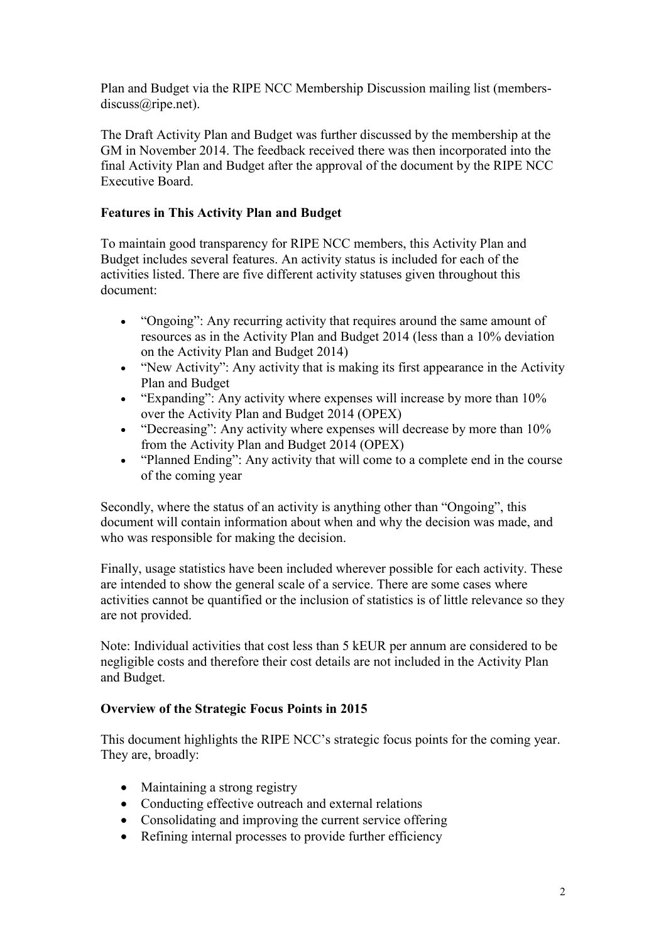Plan and Budget via the RIPE NCC Membership Discussion mailing list (membersdiscuss@ripe.net).

The Draft Activity Plan and Budget was further discussed by the membership at the GM in November 2014. The feedback received there was then incorporated into the final Activity Plan and Budget after the approval of the document by the RIPE NCC Executive Board.

#### **Features in This Activity Plan and Budget**

To maintain good transparency for RIPE NCC members, this Activity Plan and Budget includes several features. An activity status is included for each of the activities listed. There are five different activity statuses given throughout this document:

- "Ongoing": Any recurring activity that requires around the same amount of resources as in the Activity Plan and Budget 2014 (less than a 10% deviation on the Activity Plan and Budget 2014)
- "New Activity": Any activity that is making its first appearance in the Activity Plan and Budget
- "Expanding": Any activity where expenses will increase by more than 10% over the Activity Plan and Budget 2014 (OPEX)
- "Decreasing": Any activity where expenses will decrease by more than 10% from the Activity Plan and Budget 2014 (OPEX)
- "Planned Ending": Any activity that will come to a complete end in the course of the coming year

Secondly, where the status of an activity is anything other than "Ongoing", this document will contain information about when and why the decision was made, and who was responsible for making the decision.

Finally, usage statistics have been included wherever possible for each activity. These are intended to show the general scale of a service. There are some cases where activities cannot be quantified or the inclusion of statistics is of little relevance so they are not provided.

Note: Individual activities that cost less than 5 kEUR per annum are considered to be negligible costs and therefore their cost details are not included in the Activity Plan and Budget.

#### **Overview of the Strategic Focus Points in 2015**

This document highlights the RIPE NCC's strategic focus points for the coming year. They are, broadly:

- Maintaining a strong registry
- Conducting effective outreach and external relations
- Consolidating and improving the current service offering
- Refining internal processes to provide further efficiency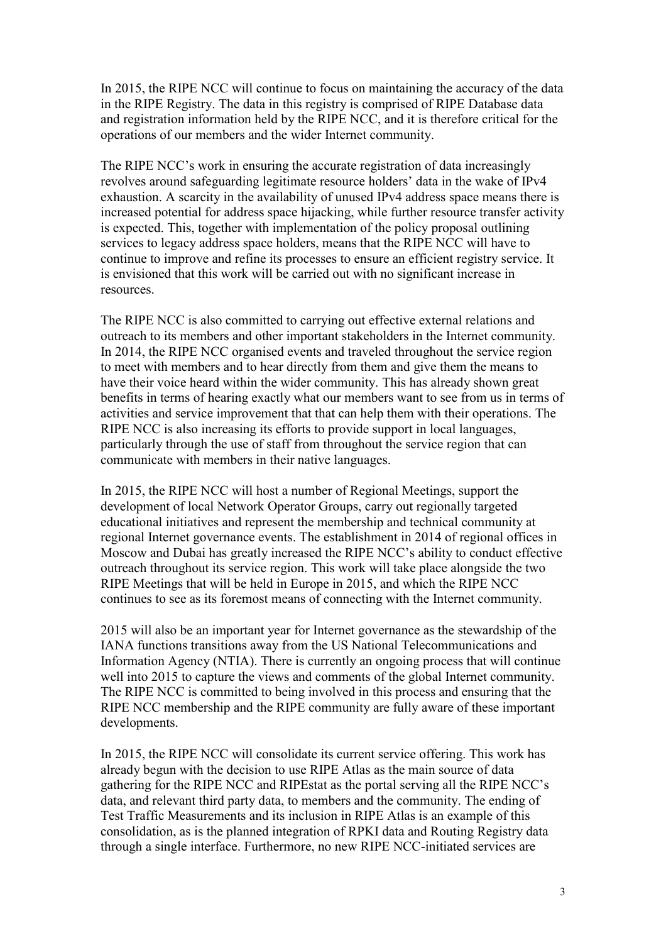In 2015, the RIPE NCC will continue to focus on maintaining the accuracy of the data in the RIPE Registry. The data in this registry is comprised of RIPE Database data and registration information held by the RIPE NCC, and it is therefore critical for the operations of our members and the wider Internet community.

The RIPE NCC's work in ensuring the accurate registration of data increasingly revolves around safeguarding legitimate resource holders' data in the wake of IPv4 exhaustion. A scarcity in the availability of unused IPv4 address space means there is increased potential for address space hijacking, while further resource transfer activity is expected. This, together with implementation of the policy proposal outlining services to legacy address space holders, means that the RIPE NCC will have to continue to improve and refine its processes to ensure an efficient registry service. It is envisioned that this work will be carried out with no significant increase in resources.

The RIPE NCC is also committed to carrying out effective external relations and outreach to its members and other important stakeholders in the Internet community. In 2014, the RIPE NCC organised events and traveled throughout the service region to meet with members and to hear directly from them and give them the means to have their voice heard within the wider community. This has already shown great benefits in terms of hearing exactly what our members want to see from us in terms of activities and service improvement that that can help them with their operations. The RIPE NCC is also increasing its efforts to provide support in local languages, particularly through the use of staff from throughout the service region that can communicate with members in their native languages.

In 2015, the RIPE NCC will host a number of Regional Meetings, support the development of local Network Operator Groups, carry out regionally targeted educational initiatives and represent the membership and technical community at regional Internet governance events. The establishment in 2014 of regional offices in Moscow and Dubai has greatly increased the RIPE NCC's ability to conduct effective outreach throughout its service region. This work will take place alongside the two RIPE Meetings that will be held in Europe in 2015, and which the RIPE NCC continues to see as its foremost means of connecting with the Internet community.

2015 will also be an important year for Internet governance as the stewardship of the IANA functions transitions away from the US National Telecommunications and Information Agency (NTIA). There is currently an ongoing process that will continue well into 2015 to capture the views and comments of the global Internet community. The RIPE NCC is committed to being involved in this process and ensuring that the RIPE NCC membership and the RIPE community are fully aware of these important developments.

In 2015, the RIPE NCC will consolidate its current service offering. This work has already begun with the decision to use RIPE Atlas as the main source of data gathering for the RIPE NCC and RIPEstat as the portal serving all the RIPE NCC's data, and relevant third party data, to members and the community. The ending of Test Traffic Measurements and its inclusion in RIPE Atlas is an example of this consolidation, as is the planned integration of RPKI data and Routing Registry data through a single interface. Furthermore, no new RIPE NCC-initiated services are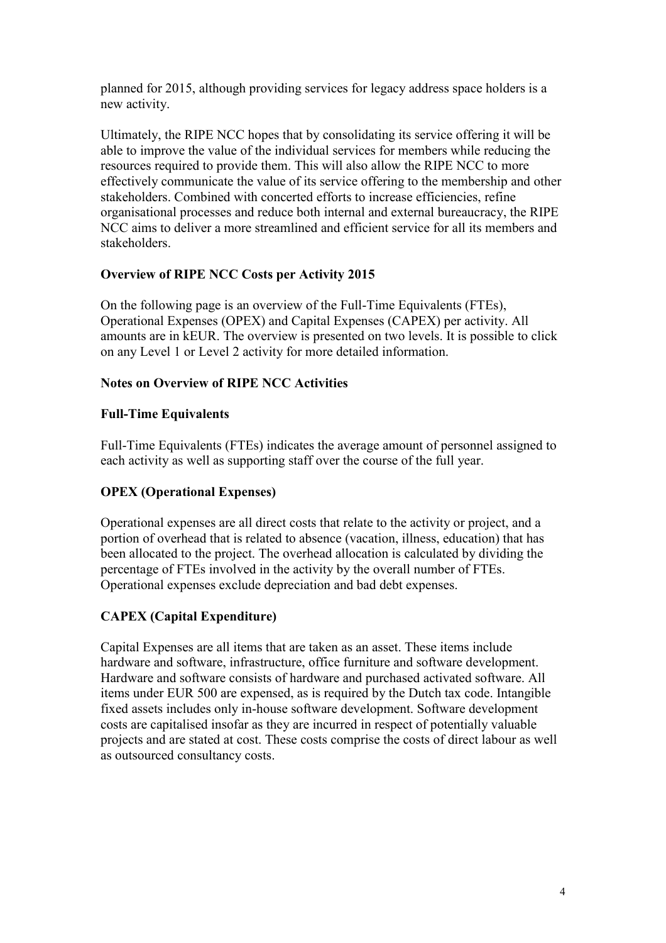planned for 2015, although providing services for legacy address space holders is a new activity.

Ultimately, the RIPE NCC hopes that by consolidating its service offering it will be able to improve the value of the individual services for members while reducing the resources required to provide them. This will also allow the RIPE NCC to more effectively communicate the value of its service offering to the membership and other stakeholders. Combined with concerted efforts to increase efficiencies, refine organisational processes and reduce both internal and external bureaucracy, the RIPE NCC aims to deliver a more streamlined and efficient service for all its members and stakeholders.

## **Overview of RIPE NCC Costs per Activity 2015**

On the following page is an overview of the Full-Time Equivalents (FTEs), Operational Expenses (OPEX) and Capital Expenses (CAPEX) per activity. All amounts are in kEUR. The overview is presented on two levels. It is possible to click on any Level 1 or Level 2 activity for more detailed information.

# **Notes on Overview of RIPE NCC Activities**

## **Full-Time Equivalents**

Full-Time Equivalents (FTEs) indicates the average amount of personnel assigned to each activity as well as supporting staff over the course of the full year.

# **OPEX (Operational Expenses)**

Operational expenses are all direct costs that relate to the activity or project, and a portion of overhead that is related to absence (vacation, illness, education) that has been allocated to the project. The overhead allocation is calculated by dividing the percentage of FTEs involved in the activity by the overall number of FTEs. Operational expenses exclude depreciation and bad debt expenses.

# **CAPEX (Capital Expenditure)**

Capital Expenses are all items that are taken as an asset. These items include hardware and software, infrastructure, office furniture and software development. Hardware and software consists of hardware and purchased activated software. All items under EUR 500 are expensed, as is required by the Dutch tax code. Intangible fixed assets includes only in-house software development. Software development costs are capitalised insofar as they are incurred in respect of potentially valuable projects and are stated at cost. These costs comprise the costs of direct labour as well as outsourced consultancy costs.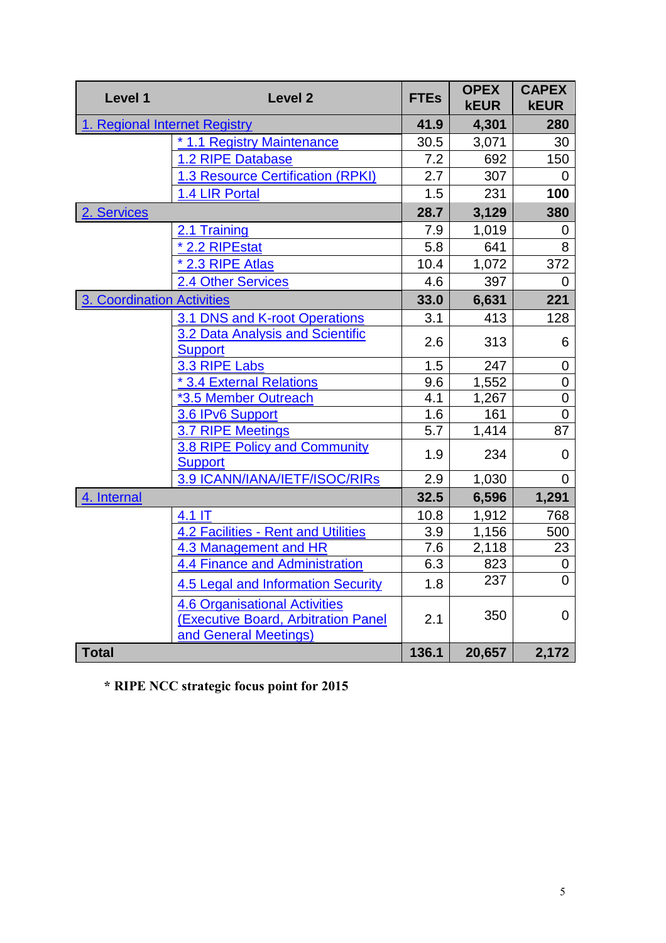| Level 1                       | <b>Level 2</b>                                                                                       | <b>FTEs</b> | <b>OPEX</b><br><b>kEUR</b> | <b>CAPEX</b><br><b>kEUR</b> |
|-------------------------------|------------------------------------------------------------------------------------------------------|-------------|----------------------------|-----------------------------|
| 1. Regional Internet Registry |                                                                                                      | 41.9        | 4,301                      | 280                         |
|                               | * 1.1 Registry Maintenance                                                                           | 30.5        | 3,071                      | 30                          |
|                               | 1.2 RIPE Database                                                                                    | 7.2         | 692                        | 150                         |
|                               | <b>1.3 Resource Certification (RPKI)</b>                                                             | 2.7         | 307                        | 0                           |
|                               | 1.4 LIR Portal                                                                                       | 1.5         | 231                        | 100                         |
| 2. Services                   |                                                                                                      | 28.7        | 3,129                      | 380                         |
|                               | 2.1 Training                                                                                         | 7.9         | 1,019                      | 0                           |
|                               | * 2.2 RIPEstat                                                                                       | 5.8         | 641                        | 8                           |
|                               | * 2.3 RIPE Atlas                                                                                     | 10.4        | 1,072                      | 372                         |
|                               | <b>2.4 Other Services</b>                                                                            | 4.6         | 397                        | $\Omega$                    |
| 3. Coordination Activities    |                                                                                                      | 33.0        | 6,631                      | 221                         |
|                               | 3.1 DNS and K-root Operations                                                                        | 3.1         | 413                        | 128                         |
|                               | 3.2 Data Analysis and Scientific<br><b>Support</b>                                                   | 2.6         | 313                        | 6                           |
|                               | 3.3 RIPE Labs                                                                                        | 1.5         | 247                        | $\mathbf 0$                 |
|                               | * 3.4 External Relations                                                                             | 9.6         | 1,552                      | $\overline{0}$              |
|                               | *3.5 Member Outreach                                                                                 | 4.1         | 1,267                      | 0                           |
|                               | 3.6 IPv6 Support                                                                                     | 1.6         | 161                        | $\mathbf 0$                 |
|                               | 3.7 RIPE Meetings                                                                                    | 5.7         | 1,414                      | 87                          |
|                               | 3.8 RIPE Policy and Community<br><b>Support</b>                                                      | 1.9         | 234                        | $\overline{0}$              |
|                               | 3.9 ICANN/IANA/IETF/ISOC/RIRs                                                                        | 2.9         | 1,030                      | 0                           |
| 4. Internal                   |                                                                                                      | 32.5        | 6,596                      | 1,291                       |
|                               | $4.1$ IT                                                                                             | 10.8        | 1,912                      | 768                         |
|                               | <b>4.2 Facilities - Rent and Utilities</b>                                                           | 3.9         | 1,156                      | 500                         |
|                               | 4.3 Management and HR                                                                                | 7.6         | 2,118                      | 23                          |
|                               | 4.4 Finance and Administration                                                                       | 6.3         | 823                        | 0                           |
|                               | <b>4.5 Legal and Information Security</b>                                                            | 1.8         | 237                        | 0                           |
|                               | <b>4.6 Organisational Activities</b><br>(Executive Board, Arbitration Panel<br>and General Meetings) | 2.1         | 350                        | $\mathbf 0$                 |
| <b>Total</b>                  |                                                                                                      | 136.1       | 20,657                     | 2,172                       |

**\* RIPE NCC strategic focus point for 2015**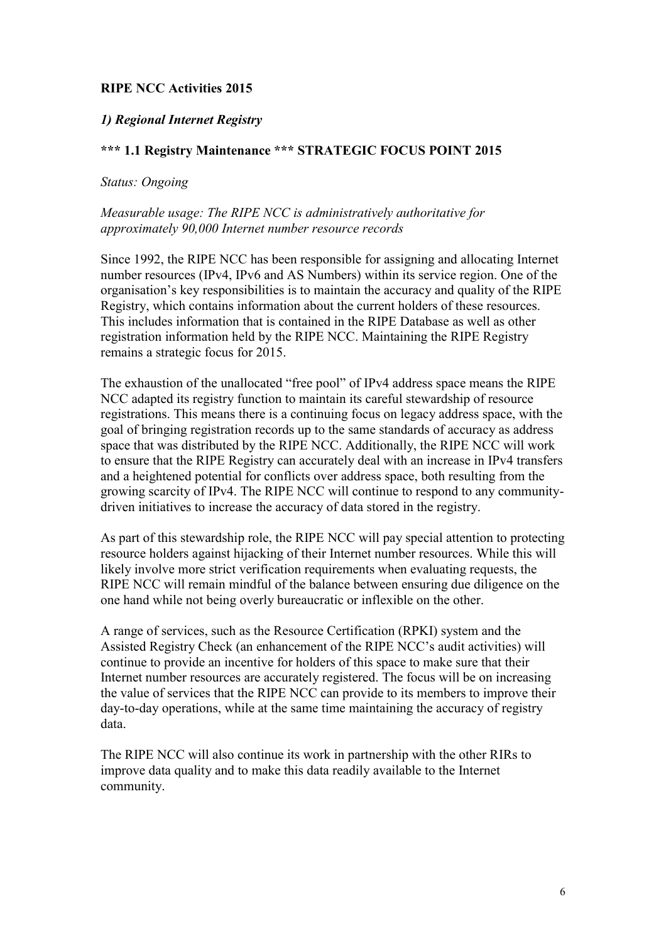#### **RIPE NCC Activities 2015**

#### <span id="page-5-0"></span>*1) Regional Internet Registry*

#### <span id="page-5-1"></span>**\*\*\* 1.1 Registry Maintenance \*\*\* STRATEGIC FOCUS POINT 2015**

#### *Status: Ongoing*

#### *Measurable usage: The RIPE NCC is administratively authoritative for approximately 90,000 Internet number resource records*

Since 1992, the RIPE NCC has been responsible for assigning and allocating Internet number resources (IPv4, IPv6 and AS Numbers) within its service region. One of the organisation's key responsibilities is to maintain the accuracy and quality of the RIPE Registry, which contains information about the current holders of these resources. This includes information that is contained in the RIPE Database as well as other registration information held by the RIPE NCC. Maintaining the RIPE Registry remains a strategic focus for 2015.

The exhaustion of the unallocated "free pool" of IPv4 address space means the RIPE NCC adapted its registry function to maintain its careful stewardship of resource registrations. This means there is a continuing focus on legacy address space, with the goal of bringing registration records up to the same standards of accuracy as address space that was distributed by the RIPE NCC. Additionally, the RIPE NCC will work to ensure that the RIPE Registry can accurately deal with an increase in IPv4 transfers and a heightened potential for conflicts over address space, both resulting from the growing scarcity of IPv4. The RIPE NCC will continue to respond to any communitydriven initiatives to increase the accuracy of data stored in the registry.

As part of this stewardship role, the RIPE NCC will pay special attention to protecting resource holders against hijacking of their Internet number resources. While this will likely involve more strict verification requirements when evaluating requests, the RIPE NCC will remain mindful of the balance between ensuring due diligence on the one hand while not being overly bureaucratic or inflexible on the other.

A range of services, such as the Resource Certification (RPKI) system and the Assisted Registry Check (an enhancement of the RIPE NCC's audit activities) will continue to provide an incentive for holders of this space to make sure that their Internet number resources are accurately registered. The focus will be on increasing the value of services that the RIPE NCC can provide to its members to improve their day-to-day operations, while at the same time maintaining the accuracy of registry data.

The RIPE NCC will also continue its work in partnership with the other RIRs to improve data quality and to make this data readily available to the Internet community.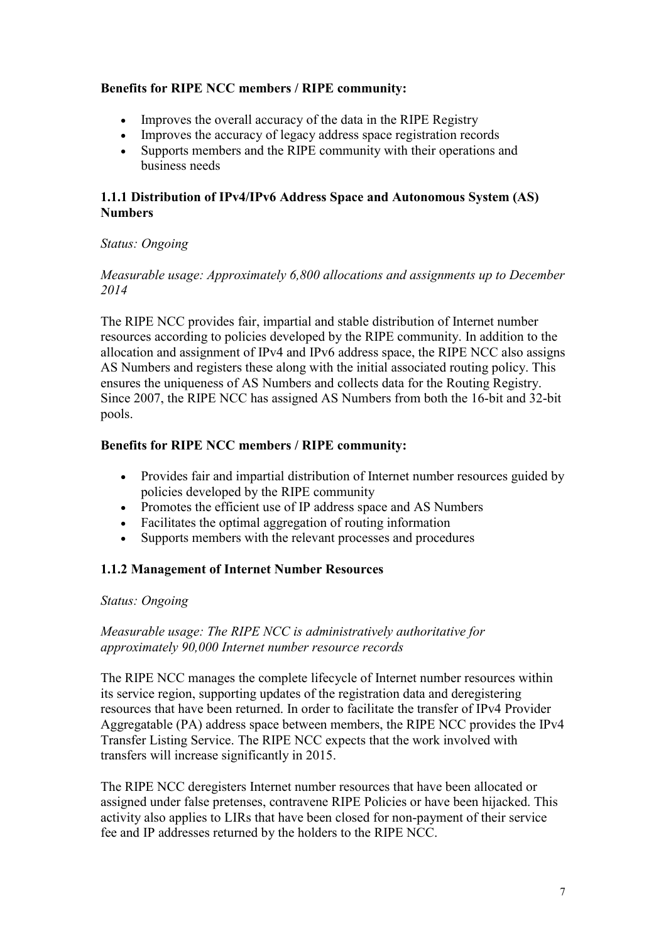#### **Benefits for RIPE NCC members / RIPE community:**

- Improves the overall accuracy of the data in the RIPE Registry
- Improves the accuracy of legacy address space registration records
- Supports members and the RIPE community with their operations and business needs

#### **1.1.1 Distribution of IPv4/IPv6 Address Space and Autonomous System (AS) Numbers**

#### *Status: Ongoing*

#### *Measurable usage: Approximately 6,800 allocations and assignments up to December 2014*

The RIPE NCC provides fair, impartial and stable distribution of Internet number resources according to policies developed by the RIPE community. In addition to the allocation and assignment of IPv4 and IPv6 address space, the RIPE NCC also assigns AS Numbers and registers these along with the initial associated routing policy. This ensures the uniqueness of AS Numbers and collects data for the Routing Registry. Since 2007, the RIPE NCC has assigned AS Numbers from both the 16-bit and 32-bit pools.

## **Benefits for RIPE NCC members / RIPE community:**

- Provides fair and impartial distribution of Internet number resources guided by policies developed by the RIPE community
- Promotes the efficient use of IP address space and AS Numbers
- Facilitates the optimal aggregation of routing information
- Supports members with the relevant processes and procedures

#### **1.1.2 Management of Internet Number Resources**

#### *Status: Ongoing*

#### *Measurable usage: The RIPE NCC is administratively authoritative for approximately 90,000 Internet number resource records*

The RIPE NCC manages the complete lifecycle of Internet number resources within its service region, supporting updates of the registration data and deregistering resources that have been returned. In order to facilitate the transfer of IPv4 Provider Aggregatable (PA) address space between members, the RIPE NCC provides the IPv4 Transfer Listing Service. The RIPE NCC expects that the work involved with transfers will increase significantly in 2015.

The RIPE NCC deregisters Internet number resources that have been allocated or assigned under false pretenses, contravene RIPE Policies or have been hijacked. This activity also applies to LIRs that have been closed for non-payment of their service fee and IP addresses returned by the holders to the RIPE NCC.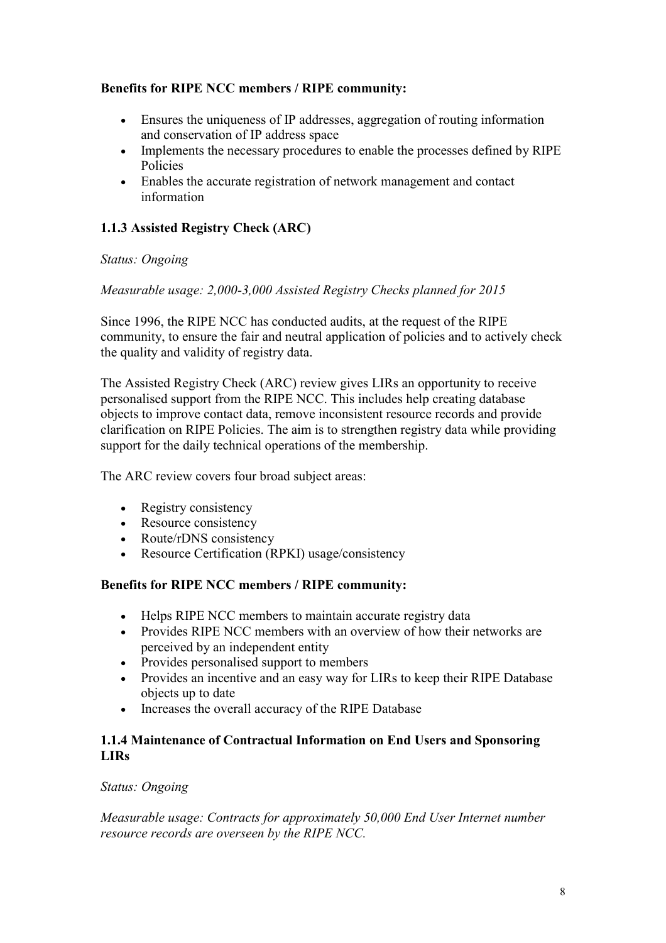## **Benefits for RIPE NCC members / RIPE community:**

- Ensures the uniqueness of IP addresses, aggregation of routing information and conservation of IP address space
- Implements the necessary procedures to enable the processes defined by RIPE Policies
- Enables the accurate registration of network management and contact information

# **1.1.3 Assisted Registry Check (ARC)**

#### *Status: Ongoing*

#### *Measurable usage: 2,000-3,000 Assisted Registry Checks planned for 2015*

Since 1996, the RIPE NCC has conducted audits, at the request of the RIPE community, to ensure the fair and neutral application of policies and to actively check the quality and validity of registry data.

The Assisted Registry Check (ARC) review gives LIRs an opportunity to receive personalised support from the RIPE NCC. This includes help creating database objects to improve contact data, remove inconsistent resource records and provide clarification on RIPE Policies. The aim is to strengthen registry data while providing support for the daily technical operations of the membership.

The ARC review covers four broad subject areas:

- Registry consistency
- Resource consistency
- Route/rDNS consistency
- Resource Certification (RPKI) usage/consistency

## **Benefits for RIPE NCC members / RIPE community:**

- Helps RIPE NCC members to maintain accurate registry data
- Provides RIPE NCC members with an overview of how their networks are perceived by an independent entity
- Provides personalised support to members
- Provides an incentive and an easy way for LIRs to keep their RIPE Database objects up to date
- Increases the overall accuracy of the RIPE Database

#### **1.1.4 Maintenance of Contractual Information on End Users and Sponsoring LIRs**

#### *Status: Ongoing*

*Measurable usage: Contracts for approximately 50,000 End User Internet number resource records are overseen by the RIPE NCC.*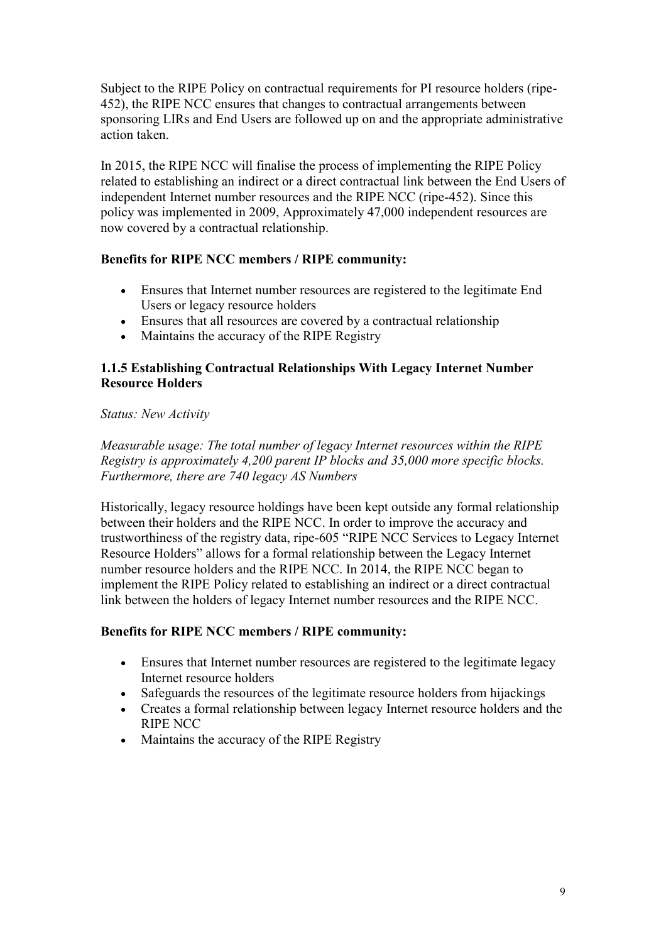Subject to the RIPE Policy on contractual requirements for PI resource holders (ripe-452), the RIPE NCC ensures that changes to contractual arrangements between sponsoring LIRs and End Users are followed up on and the appropriate administrative action taken.

In 2015, the RIPE NCC will finalise the process of implementing the RIPE Policy related to establishing an indirect or a direct contractual link between the End Users of independent Internet number resources and the RIPE NCC (ripe-452). Since this policy was implemented in 2009, Approximately 47,000 independent resources are now covered by a contractual relationship.

#### **Benefits for RIPE NCC members / RIPE community:**

- Ensures that Internet number resources are registered to the legitimate End Users or legacy resource holders
- Ensures that all resources are covered by a contractual relationship
- Maintains the accuracy of the RIPE Registry

#### **1.1.5 Establishing Contractual Relationships With Legacy Internet Number Resource Holders**

#### *Status: New Activity*

*Measurable usage: The total number of legacy Internet resources within the RIPE Registry is approximately 4,200 parent IP blocks and 35,000 more specific blocks. Furthermore, there are 740 legacy AS Numbers*

Historically, legacy resource holdings have been kept outside any formal relationship between their holders and the RIPE NCC. In order to improve the accuracy and trustworthiness of the registry data, ripe-605 "RIPE NCC Services to Legacy Internet Resource Holders" allows for a formal relationship between the Legacy Internet number resource holders and the RIPE NCC. In 2014, the RIPE NCC began to implement the RIPE Policy related to establishing an indirect or a direct contractual link between the holders of legacy Internet number resources and the RIPE NCC.

#### **Benefits for RIPE NCC members / RIPE community:**

- Ensures that Internet number resources are registered to the legitimate legacy Internet resource holders
- Safeguards the resources of the legitimate resource holders from hijackings
- Creates a formal relationship between legacy Internet resource holders and the RIPE NCC
- Maintains the accuracy of the RIPE Registry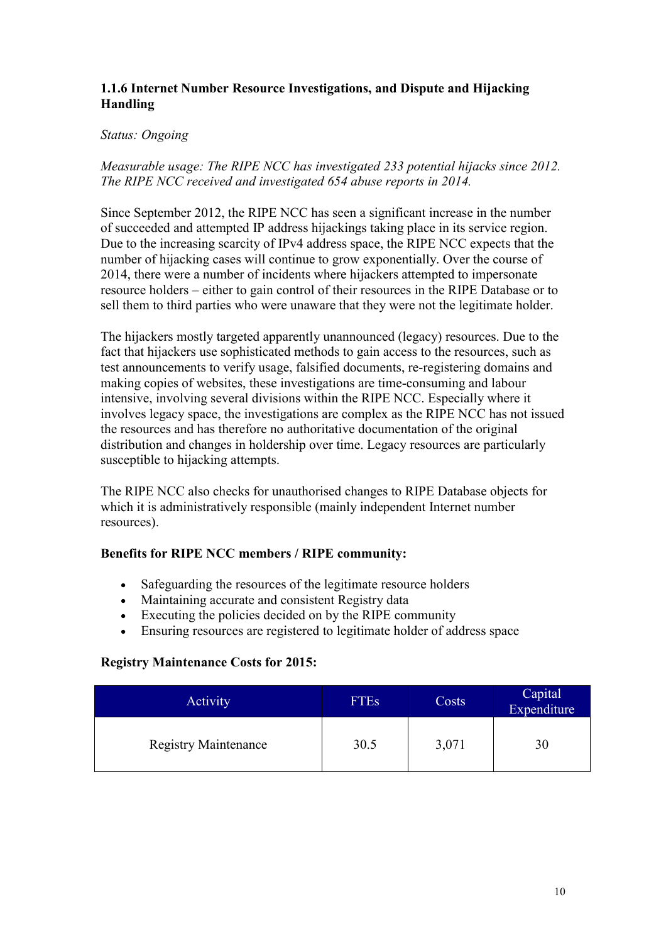#### **1.1.6 Internet Number Resource Investigations, and Dispute and Hijacking Handling**

#### *Status: Ongoing*

*Measurable usage: The RIPE NCC has investigated 233 potential hijacks since 2012. The RIPE NCC received and investigated 654 abuse reports in 2014.*

Since September 2012, the RIPE NCC has seen a significant increase in the number of succeeded and attempted IP address hijackings taking place in its service region. Due to the increasing scarcity of IPv4 address space, the RIPE NCC expects that the number of hijacking cases will continue to grow exponentially. Over the course of 2014, there were a number of incidents where hijackers attempted to impersonate resource holders – either to gain control of their resources in the RIPE Database or to sell them to third parties who were unaware that they were not the legitimate holder.

The hijackers mostly targeted apparently unannounced (legacy) resources. Due to the fact that hijackers use sophisticated methods to gain access to the resources, such as test announcements to verify usage, falsified documents, re-registering domains and making copies of websites, these investigations are time-consuming and labour intensive, involving several divisions within the RIPE NCC. Especially where it involves legacy space, the investigations are complex as the RIPE NCC has not issued the resources and has therefore no authoritative documentation of the original distribution and changes in holdership over time. Legacy resources are particularly susceptible to hijacking attempts.

The RIPE NCC also checks for unauthorised changes to RIPE Database objects for which it is administratively responsible (mainly independent Internet number resources).

#### **Benefits for RIPE NCC members / RIPE community:**

- Safeguarding the resources of the legitimate resource holders
- Maintaining accurate and consistent Registry data
- Executing the policies decided on by the RIPE community
- Ensuring resources are registered to legitimate holder of address space

#### **Registry Maintenance Costs for 2015:**

<span id="page-9-0"></span>

| Activity                    | <b>FTEs</b> | Costs | Capital<br>Expenditure |
|-----------------------------|-------------|-------|------------------------|
| <b>Registry Maintenance</b> | 30.5        | 3,071 | 30                     |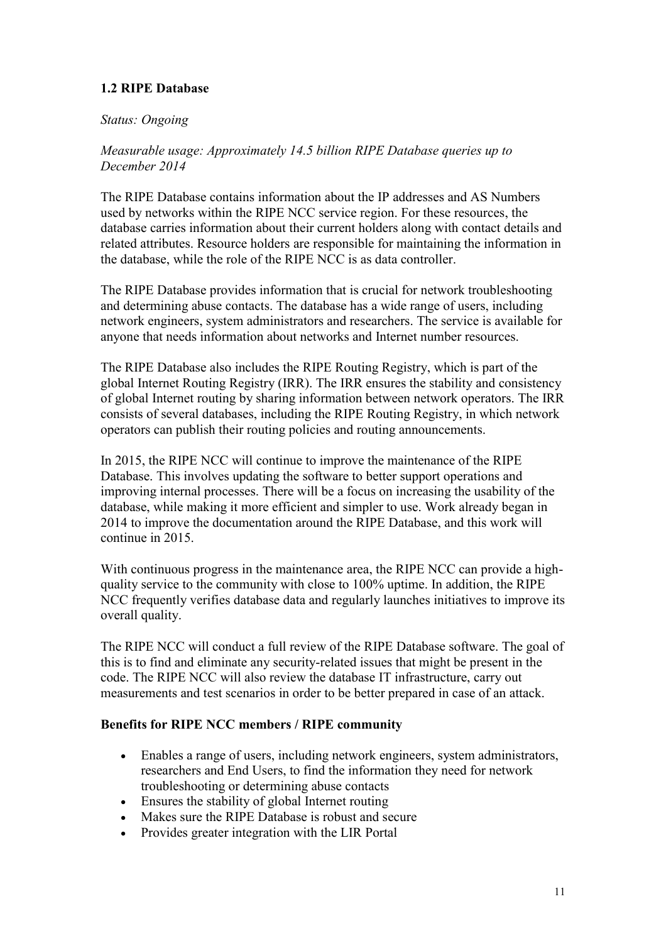# **1.2 RIPE Database**

#### *Status: Ongoing*

*Measurable usage: Approximately 14.5 billion RIPE Database queries up to December 2014*

The RIPE Database contains information about the IP addresses and AS Numbers used by networks within the RIPE NCC service region. For these resources, the database carries information about their current holders along with contact details and related attributes. Resource holders are responsible for maintaining the information in the database, while the role of the RIPE NCC is as data controller.

The RIPE Database provides information that is crucial for network troubleshooting and determining abuse contacts. The database has a wide range of users, including network engineers, system administrators and researchers. The service is available for anyone that needs information about networks and Internet number resources.

The RIPE Database also includes the RIPE Routing Registry, which is part of the global Internet Routing Registry (IRR). The IRR ensures the stability and consistency of global Internet routing by sharing information between network operators. The IRR consists of several databases, including the RIPE Routing Registry, in which network operators can publish their routing policies and routing announcements.

In 2015, the RIPE NCC will continue to improve the maintenance of the RIPE Database. This involves updating the software to better support operations and improving internal processes. There will be a focus on increasing the usability of the database, while making it more efficient and simpler to use. Work already began in 2014 to improve the documentation around the RIPE Database, and this work will continue in 2015.

With continuous progress in the maintenance area, the RIPE NCC can provide a highquality service to the community with close to 100% uptime. In addition, the RIPE NCC frequently verifies database data and regularly launches initiatives to improve its overall quality.

The RIPE NCC will conduct a full review of the RIPE Database software. The goal of this is to find and eliminate any security-related issues that might be present in the code. The RIPE NCC will also review the database IT infrastructure, carry out measurements and test scenarios in order to be better prepared in case of an attack.

#### **Benefits for RIPE NCC members / RIPE community**

- Enables a range of users, including network engineers, system administrators, researchers and End Users, to find the information they need for network troubleshooting or determining abuse contacts
- Ensures the stability of global Internet routing
- Makes sure the RIPE Database is robust and secure
- Provides greater integration with the LIR Portal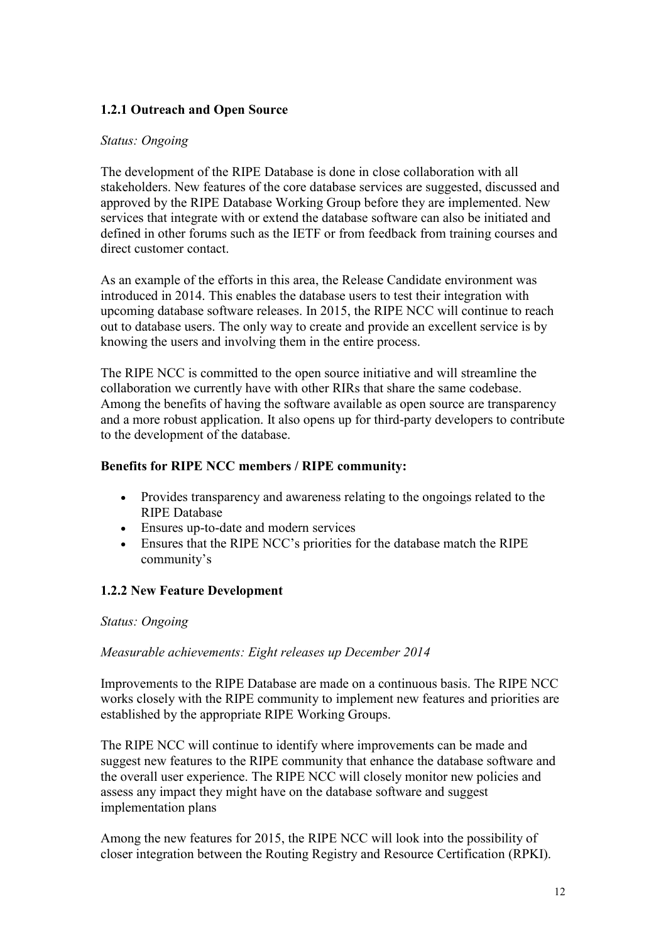## **1.2.1 Outreach and Open Source**

#### *Status: Ongoing*

The development of the RIPE Database is done in close collaboration with all stakeholders. New features of the core database services are suggested, discussed and approved by the RIPE Database Working Group before they are implemented. New services that integrate with or extend the database software can also be initiated and defined in other forums such as the IETF or from feedback from training courses and direct customer contact.

As an example of the efforts in this area, the Release Candidate environment was introduced in 2014. This enables the database users to test their integration with upcoming database software releases. In 2015, the RIPE NCC will continue to reach out to database users. The only way to create and provide an excellent service is by knowing the users and involving them in the entire process.

The RIPE NCC is committed to the open source initiative and will streamline the collaboration we currently have with other RIRs that share the same codebase. Among the benefits of having the software available as open source are transparency and a more robust application. It also opens up for third-party developers to contribute to the development of the database.

#### **Benefits for RIPE NCC members / RIPE community:**

- Provides transparency and awareness relating to the ongoings related to the RIPE Database
- Ensures up-to-date and modern services
- Ensures that the RIPE NCC's priorities for the database match the RIPE community's

#### **1.2.2 New Feature Development**

#### *Status: Ongoing*

#### *Measurable achievements: Eight releases up December 2014*

Improvements to the RIPE Database are made on a continuous basis. The RIPE NCC works closely with the RIPE community to implement new features and priorities are established by the appropriate RIPE Working Groups.

The RIPE NCC will continue to identify where improvements can be made and suggest new features to the RIPE community that enhance the database software and the overall user experience. The RIPE NCC will closely monitor new policies and assess any impact they might have on the database software and suggest implementation plans

Among the new features for 2015, the RIPE NCC will look into the possibility of closer integration between the Routing Registry and Resource Certification (RPKI).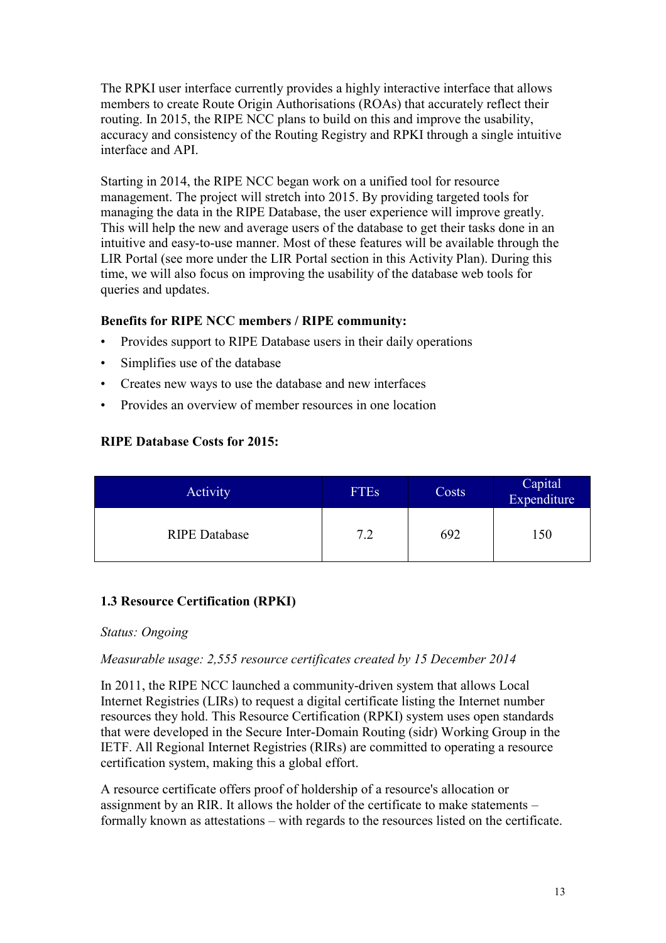The RPKI user interface currently provides a highly interactive interface that allows members to create Route Origin Authorisations (ROAs) that accurately reflect their routing. In 2015, the RIPE NCC plans to build on this and improve the usability, accuracy and consistency of the Routing Registry and RPKI through a single intuitive interface and API.

Starting in 2014, the RIPE NCC began work on a unified tool for resource management. The project will stretch into 2015. By providing targeted tools for managing the data in the RIPE Database, the user experience will improve greatly. This will help the new and average users of the database to get their tasks done in an intuitive and easy-to-use manner. Most of these features will be available through the LIR Portal (see more under the LIR Portal section in this Activity Plan). During this time, we will also focus on improving the usability of the database web tools for queries and updates.

## **Benefits for RIPE NCC members / RIPE community:**

- Provides support to RIPE Database users in their daily operations
- Simplifies use of the database
- Creates new ways to use the database and new interfaces
- Provides an overview of member resources in one location

## **RIPE Database Costs for 2015:**

| Activity             | <b>FTEs</b> | Costs | Capital<br>Expenditure |
|----------------------|-------------|-------|------------------------|
| <b>RIPE Database</b> | 7 2         | 692   | 150                    |

# <span id="page-12-0"></span>**1.3 Resource Certification (RPKI)**

#### *Status: Ongoing*

#### *Measurable usage: 2,555 resource certificates created by 15 December 2014*

In 2011, the RIPE NCC launched a community-driven system that allows Local Internet Registries (LIRs) to request a digital certificate listing the Internet number resources they hold. This Resource Certification (RPKI) system uses open standards that were developed in the Secure Inter-Domain Routing (sidr) Working Group in the IETF. All Regional Internet Registries (RIRs) are committed to operating a resource certification system, making this a global effort.

A resource certificate offers proof of holdership of a resource's allocation or assignment by an RIR. It allows the holder of the certificate to make statements – formally known as attestations – with regards to the resources listed on the certificate.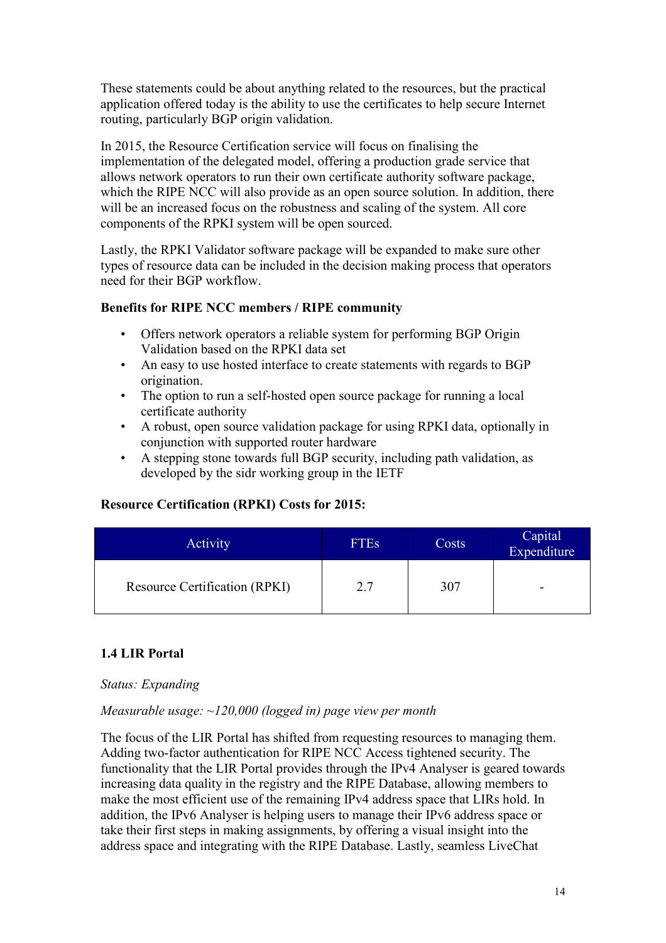These statements could be about anything related to the resources, but the practical application offered today is the ability to use the certificates to help secure Internet routing, particularly BGP origin validation.

In 2015, the Resource Certification service will focus on finalising the implementation of the delegated model, offering a production grade service that allows network operators to run their own certificate authority software package, which the RIPE NCC will also provide as an open source solution. In addition, there will be an increased focus on the robustness and scaling of the system. All core components of the RPKI system will be open sourced.

Lastly, the RPKI Validator software package will be expanded to make sure other types of resource data can be included in the decision making process that operators need for their BGP workflow.

#### **Benefits for RIPE NCC members / RIPE community**

- Offers network operators a reliable system for performing BGP Origin Validation based on the RPKI data set
- An easy to use hosted interface to create statements with regards to BGP origination.
- The option to run a self-hosted open source package for running a local certificate authority
- A robust, open source validation package for using RPKI data, optionally in conjunction with supported router hardware
- A stepping stone towards full BGP security, including path validation, as developed by the sidr working group in the IETF

#### **Resource Certification (RPKI) Costs for 2015:**

| <b>Activity</b>               | <b>FTEs</b> | Costs | Capital<br>Expenditure |
|-------------------------------|-------------|-------|------------------------|
| Resource Certification (RPKI) | 2.7         | 307   | -                      |

#### <span id="page-13-0"></span>**1.4 LIR Portal**

#### *Status: Expanding*

#### *Measurable usage: ~120,000 (logged in) page view per month*

The focus of the LIR Portal has shifted from requesting resources to managing them. Adding two-factor authentication for RIPE NCC Access tightened security. The functionality that the LIR Portal provides through the IPv4 Analyser is geared towards increasing data quality in the registry and the RIPE Database, allowing members to make the most efficient use of the remaining IPv4 address space that LIRs hold. In addition, the IPv6 Analyser is helping users to manage their IPv6 address space or take their first steps in making assignments, by offering a visual insight into the address space and integrating with the RIPE Database. Lastly, seamless LiveChat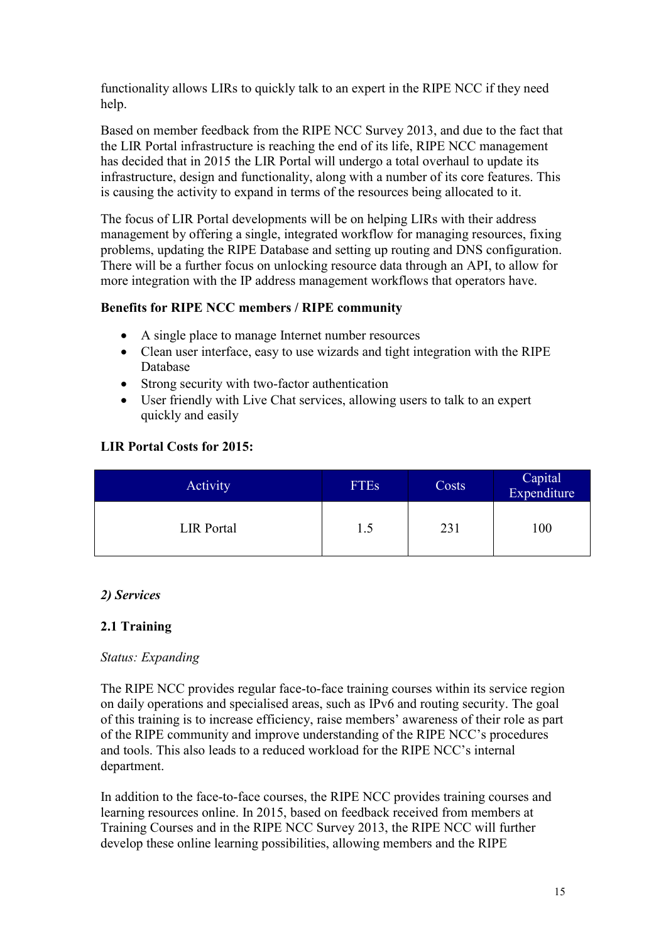functionality allows LIRs to quickly talk to an expert in the RIPE NCC if they need help.

Based on member feedback from the RIPE NCC Survey 2013, and due to the fact that the LIR Portal infrastructure is reaching the end of its life, RIPE NCC management has decided that in 2015 the LIR Portal will undergo a total overhaul to update its infrastructure, design and functionality, along with a number of its core features. This is causing the activity to expand in terms of the resources being allocated to it.

The focus of LIR Portal developments will be on helping LIRs with their address management by offering a single, integrated workflow for managing resources, fixing problems, updating the RIPE Database and setting up routing and DNS configuration. There will be a further focus on unlocking resource data through an API, to allow for more integration with the IP address management workflows that operators have.

#### **Benefits for RIPE NCC members / RIPE community**

- A single place to manage Internet number resources
- Clean user interface, easy to use wizards and tight integration with the RIPE Database
- Strong security with two-factor authentication
- User friendly with Live Chat services, allowing users to talk to an expert quickly and easily

#### **LIR Portal Costs for 2015:**

| Activity          | <b>FTEs</b> | Costs | Capital<br>Expenditure |
|-------------------|-------------|-------|------------------------|
| <b>LIR</b> Portal | 1.5         | 231   | 100                    |

#### <span id="page-14-0"></span>*2) Services*

#### <span id="page-14-1"></span>**2.1 Training**

#### *Status: Expanding*

The RIPE NCC provides regular face-to-face training courses within its service region on daily operations and specialised areas, such as IPv6 and routing security. The goal of this training is to increase efficiency, raise members' awareness of their role as part of the RIPE community and improve understanding of the RIPE NCC's procedures and tools. This also leads to a reduced workload for the RIPE NCC's internal department.

In addition to the face-to-face courses, the RIPE NCC provides training courses and learning resources online. In 2015, based on feedback received from members at Training Courses and in the RIPE NCC Survey 2013, the RIPE NCC will further develop these online learning possibilities, allowing members and the RIPE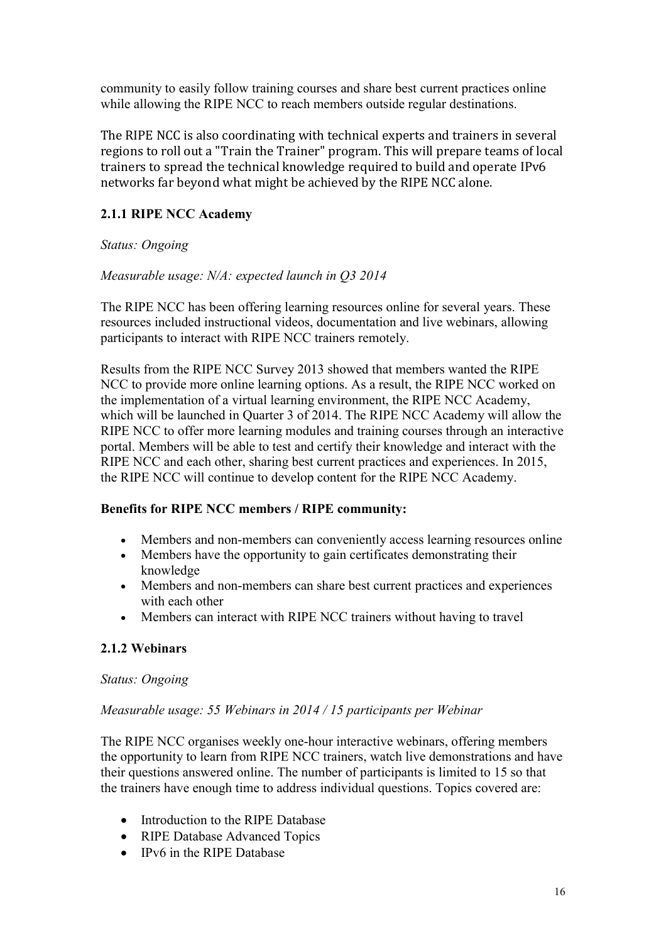community to easily follow training courses and share best current practices online while allowing the RIPE NCC to reach members outside regular destinations.

The RIPE NCC is also coordinating with technical experts and trainers in several regions to roll out a "Train the Trainer" program. This will prepare teams of local trainers to spread the technical knowledge required to build and operate IPv6 networks far beyond what might be achieved by the RIPE NCC alone.

# **2.1.1 RIPE NCC Academy**

## *Status: Ongoing*

## *Measurable usage: N/A: expected launch in Q3 2014*

The RIPE NCC has been offering learning resources online for several years. These resources included instructional videos, documentation and live webinars, allowing participants to interact with RIPE NCC trainers remotely.

Results from the RIPE NCC Survey 2013 showed that members wanted the RIPE NCC to provide more online learning options. As a result, the RIPE NCC worked on the implementation of a virtual learning environment, the RIPE NCC Academy, which will be launched in Quarter 3 of 2014. The RIPE NCC Academy will allow the RIPE NCC to offer more learning modules and training courses through an interactive portal. Members will be able to test and certify their knowledge and interact with the RIPE NCC and each other, sharing best current practices and experiences. In 2015, the RIPE NCC will continue to develop content for the RIPE NCC Academy.

#### **Benefits for RIPE NCC members / RIPE community:**

- Members and non-members can conveniently access learning resources online
- Members have the opportunity to gain certificates demonstrating their knowledge
- Members and non-members can share best current practices and experiences with each other
- Members can interact with RIPE NCC trainers without having to travel

# **2.1.2 Webinars**

#### *Status: Ongoing*

#### *Measurable usage: 55 Webinars in 2014 / 15 participants per Webinar*

The RIPE NCC organises weekly one-hour interactive webinars, offering members the opportunity to learn from RIPE NCC trainers, watch live demonstrations and have their questions answered online. The number of participants is limited to 15 so that the trainers have enough time to address individual questions. Topics covered are:

- Introduction to the RIPE Database
- RIPE Database Advanced Topics
- IPv6 in the RIPE Database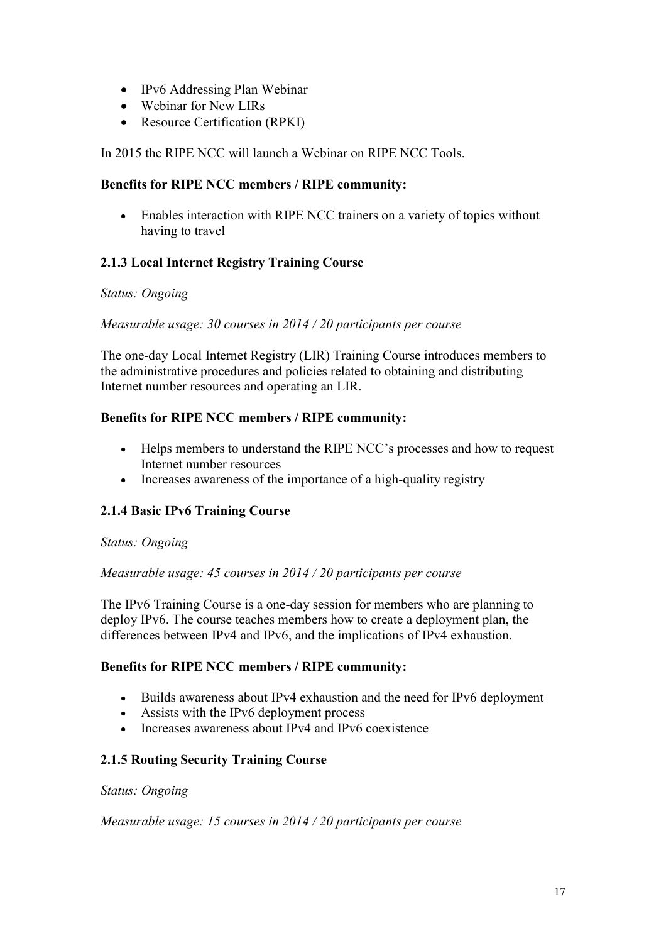- IPv6 Addressing Plan Webinar
- Webinar for New LIRs
- Resource Certification (RPKI)

In 2015 the RIPE NCC will launch a Webinar on RIPE NCC Tools.

#### **Benefits for RIPE NCC members / RIPE community:**

 Enables interaction with RIPE NCC trainers on a variety of topics without having to travel

# **2.1.3 Local Internet Registry Training Course**

#### *Status: Ongoing*

#### *Measurable usage: 30 courses in 2014 / 20 participants per course*

The one-day Local Internet Registry (LIR) Training Course introduces members to the administrative procedures and policies related to obtaining and distributing Internet number resources and operating an LIR.

#### **Benefits for RIPE NCC members / RIPE community:**

- Helps members to understand the RIPE NCC's processes and how to request Internet number resources
- Increases awareness of the importance of a high-quality registry

# **2.1.4 Basic IPv6 Training Course**

#### *Status: Ongoing*

#### *Measurable usage: 45 courses in 2014 / 20 participants per course*

The IPv6 Training Course is a one-day session for members who are planning to deploy IPv6. The course teaches members how to create a deployment plan, the differences between IPv4 and IPv6, and the implications of IPv4 exhaustion.

#### **Benefits for RIPE NCC members / RIPE community:**

- Builds awareness about IPv4 exhaustion and the need for IPv6 deployment
- Assists with the IPv6 deployment process
- Increases awareness about IPv4 and IPv6 coexistence

#### **2.1.5 Routing Security Training Course**

*Status: Ongoing*

#### *Measurable usage: 15 courses in 2014 / 20 participants per course*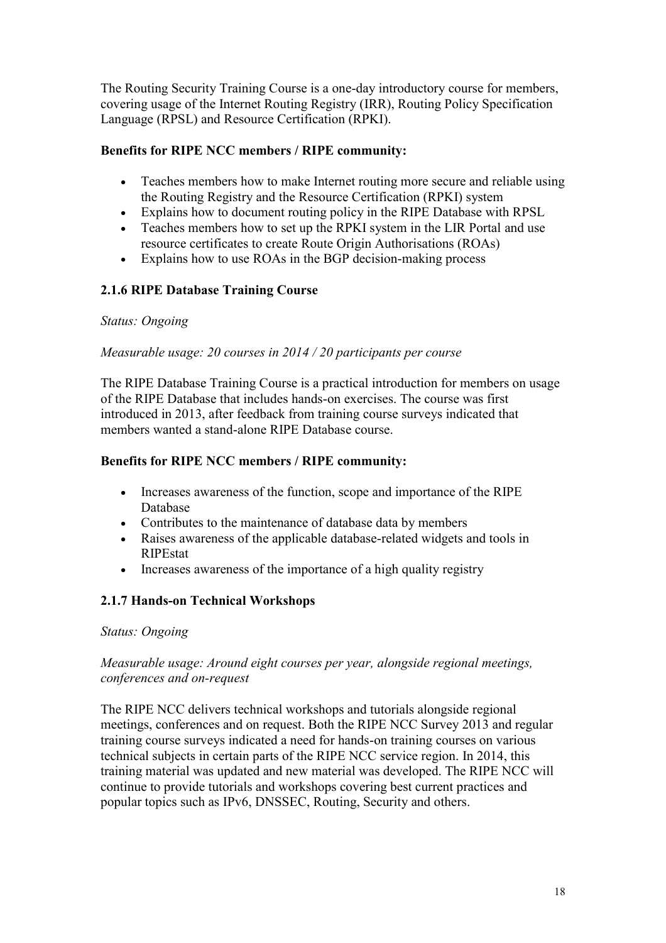The Routing Security Training Course is a one-day introductory course for members, covering usage of the Internet Routing Registry (IRR), Routing Policy Specification Language (RPSL) and Resource Certification (RPKI).

## **Benefits for RIPE NCC members / RIPE community:**

- Teaches members how to make Internet routing more secure and reliable using the Routing Registry and the Resource Certification (RPKI) system
- Explains how to document routing policy in the RIPE Database with RPSL
- Teaches members how to set up the RPKI system in the LIR Portal and use resource certificates to create Route Origin Authorisations (ROAs)
- Explains how to use ROAs in the BGP decision-making process

## **2.1.6 RIPE Database Training Course**

#### *Status: Ongoing*

#### *Measurable usage: 20 courses in 2014 / 20 participants per course*

The RIPE Database Training Course is a practical introduction for members on usage of the RIPE Database that includes hands-on exercises. The course was first introduced in 2013, after feedback from training course surveys indicated that members wanted a stand-alone RIPE Database course.

#### **Benefits for RIPE NCC members / RIPE community:**

- Increases awareness of the function, scope and importance of the RIPE Database
- Contributes to the maintenance of database data by members
- Raises awareness of the applicable database-related widgets and tools in RIPEstat
- Increases awareness of the importance of a high quality registry

#### **2.1.7 Hands-on Technical Workshops**

#### *Status: Ongoing*

#### *Measurable usage: Around eight courses per year, alongside regional meetings, conferences and on-request*

The RIPE NCC delivers technical workshops and tutorials alongside regional meetings, conferences and on request. Both the RIPE NCC Survey 2013 and regular training course surveys indicated a need for hands-on training courses on various technical subjects in certain parts of the RIPE NCC service region. In 2014, this training material was updated and new material was developed. The RIPE NCC will continue to provide tutorials and workshops covering best current practices and popular topics such as IPv6, DNSSEC, Routing, Security and others.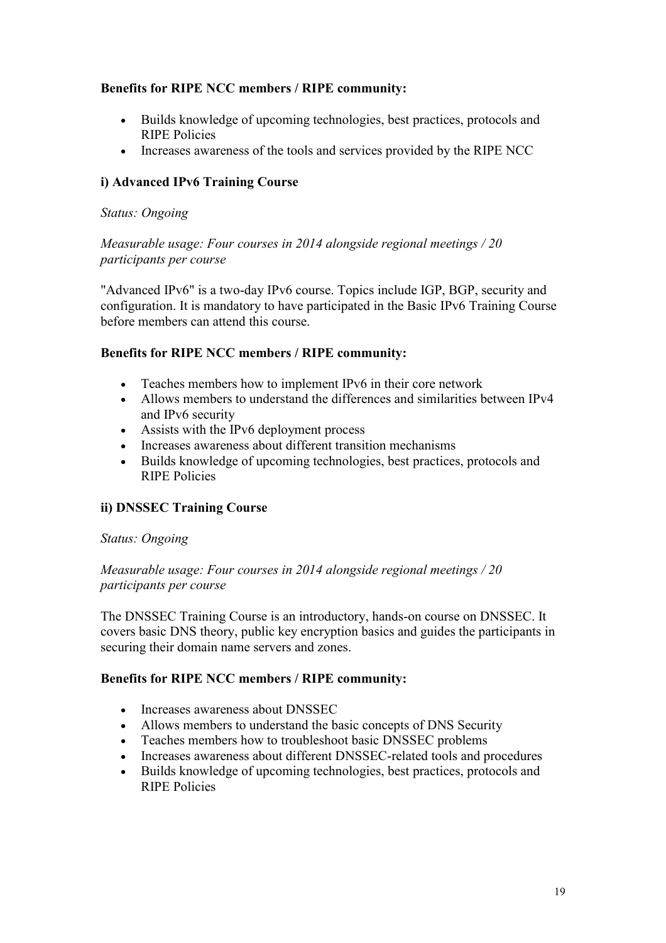## **Benefits for RIPE NCC members / RIPE community:**

- Builds knowledge of upcoming technologies, best practices, protocols and RIPE Policies
- Increases awareness of the tools and services provided by the RIPE NCC

## **i) Advanced IPv6 Training Course**

#### *Status: Ongoing*

*Measurable usage: Four courses in 2014 alongside regional meetings / 20 participants per course*

"Advanced IPv6" is a two-day IPv6 course. Topics include IGP, BGP, security and configuration. It is mandatory to have participated in the Basic IPv6 Training Course before members can attend this course.

#### **Benefits for RIPE NCC members / RIPE community:**

- Teaches members how to implement IPv6 in their core network
- Allows members to understand the differences and similarities between IPv4 and IPv6 security
- Assists with the IPv6 deployment process
- Increases awareness about different transition mechanisms
- Builds knowledge of upcoming technologies, best practices, protocols and RIPE Policies

#### **ii) DNSSEC Training Course**

#### *Status: Ongoing*

*Measurable usage: Four courses in 2014 alongside regional meetings / 20 participants per course*

The DNSSEC Training Course is an introductory, hands-on course on DNSSEC. It covers basic DNS theory, public key encryption basics and guides the participants in securing their domain name servers and zones.

#### **Benefits for RIPE NCC members / RIPE community:**

- Increases awareness about DNSSEC
- Allows members to understand the basic concepts of DNS Security
- Teaches members how to troubleshoot basic DNSSEC problems
- Increases awareness about different DNSSEC-related tools and procedures
- Builds knowledge of upcoming technologies, best practices, protocols and RIPE Policies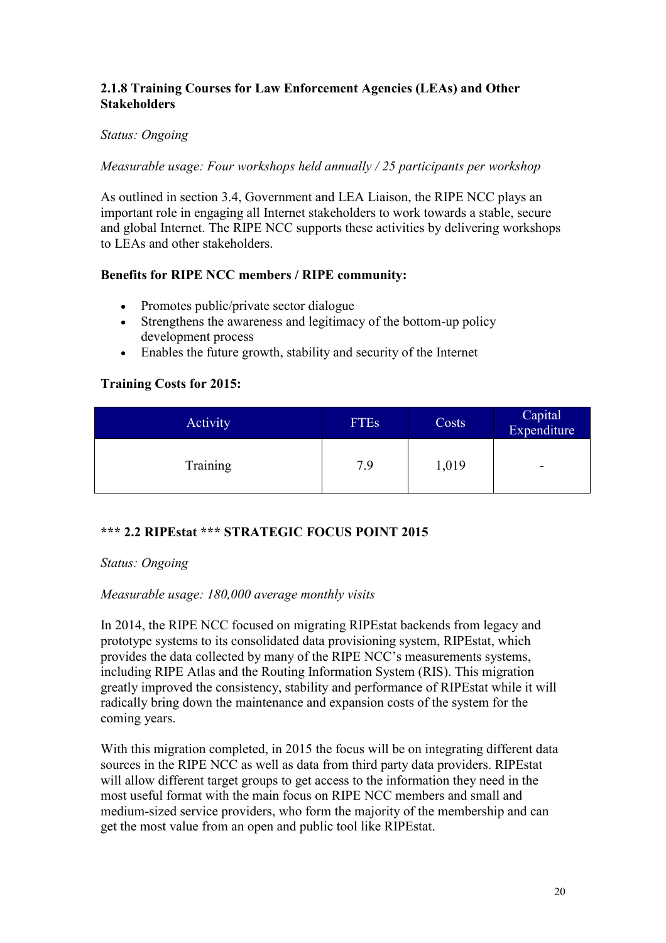## **2.1.8 Training Courses for Law Enforcement Agencies (LEAs) and Other Stakeholders**

#### *Status: Ongoing*

#### *Measurable usage: Four workshops held annually / 25 participants per workshop*

As outlined in section 3.4, Government and LEA Liaison, the RIPE NCC plays an important role in engaging all Internet stakeholders to work towards a stable, secure and global Internet. The RIPE NCC supports these activities by delivering workshops to LEAs and other stakeholders.

## **Benefits for RIPE NCC members / RIPE community:**

- Promotes public/private sector dialogue
- Strengthens the awareness and legitimacy of the bottom-up policy development process
- Enables the future growth, stability and security of the Internet

## **Training Costs for 2015:**

| <b>Activity</b> | <b>FTEs</b> | Costs | Capital<br>Expenditure   |
|-----------------|-------------|-------|--------------------------|
| <b>Training</b> | 7.9         | 1,019 | $\overline{\phantom{a}}$ |

# <span id="page-19-0"></span>**\*\*\* 2.2 RIPEstat \*\*\* STRATEGIC FOCUS POINT 2015**

#### *Status: Ongoing*

#### *Measurable usage: 180,000 average monthly visits*

In 2014, the RIPE NCC focused on migrating RIPEstat backends from legacy and prototype systems to its consolidated data provisioning system, RIPEstat, which provides the data collected by many of the RIPE NCC's measurements systems, including RIPE Atlas and the Routing Information System (RIS). This migration greatly improved the consistency, stability and performance of RIPEstat while it will radically bring down the maintenance and expansion costs of the system for the coming years.

With this migration completed, in 2015 the focus will be on integrating different data sources in the RIPE NCC as well as data from third party data providers. RIPEstat will allow different target groups to get access to the information they need in the most useful format with the main focus on RIPE NCC members and small and medium-sized service providers, who form the majority of the membership and can get the most value from an open and public tool like RIPEstat.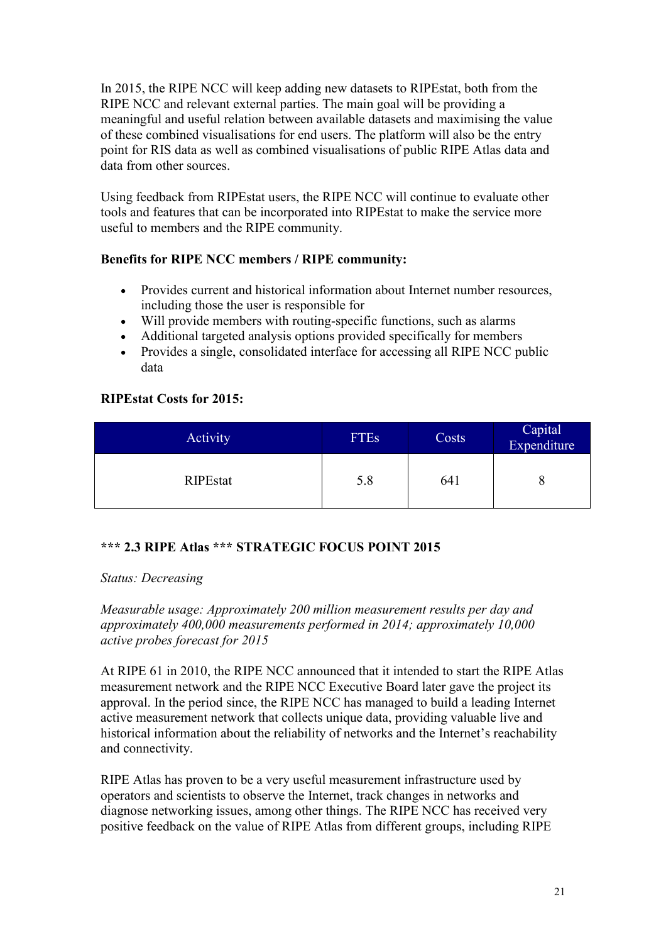In 2015, the RIPE NCC will keep adding new datasets to RIPEstat, both from the RIPE NCC and relevant external parties. The main goal will be providing a meaningful and useful relation between available datasets and maximising the value of these combined visualisations for end users. The platform will also be the entry point for RIS data as well as combined visualisations of public RIPE Atlas data and data from other sources.

Using feedback from RIPEstat users, the RIPE NCC will continue to evaluate other tools and features that can be incorporated into RIPEstat to make the service more useful to members and the RIPE community.

## **Benefits for RIPE NCC members / RIPE community:**

- Provides current and historical information about Internet number resources, including those the user is responsible for
- Will provide members with routing-specific functions, such as alarms
- Additional targeted analysis options provided specifically for members<br>• Provides a single, consolidated interface for accessing all RIPE NCC nu
- Provides a single, consolidated interface for accessing all RIPE NCC public data

## **RIPEstat Costs for 2015:**

| Activity        | <b>FTEs</b> | Costs | Capital<br>Expenditure |
|-----------------|-------------|-------|------------------------|
| <b>RIPEstat</b> | 5.8         | 641   |                        |

#### <span id="page-20-0"></span>**\*\*\* 2.3 RIPE Atlas \*\*\* STRATEGIC FOCUS POINT 2015**

#### *Status: Decreasing*

*Measurable usage: Approximately 200 million measurement results per day and approximately 400,000 measurements performed in 2014; approximately 10,000 active probes forecast for 2015*

At RIPE 61 in 2010, the RIPE NCC announced that it intended to start the RIPE Atlas measurement network and the RIPE NCC Executive Board later gave the project its approval. In the period since, the RIPE NCC has managed to build a leading Internet active measurement network that collects unique data, providing valuable live and historical information about the reliability of networks and the Internet's reachability and connectivity.

RIPE Atlas has proven to be a very useful measurement infrastructure used by operators and scientists to observe the Internet, track changes in networks and diagnose networking issues, among other things. The RIPE NCC has received very positive feedback on the value of RIPE Atlas from different groups, including RIPE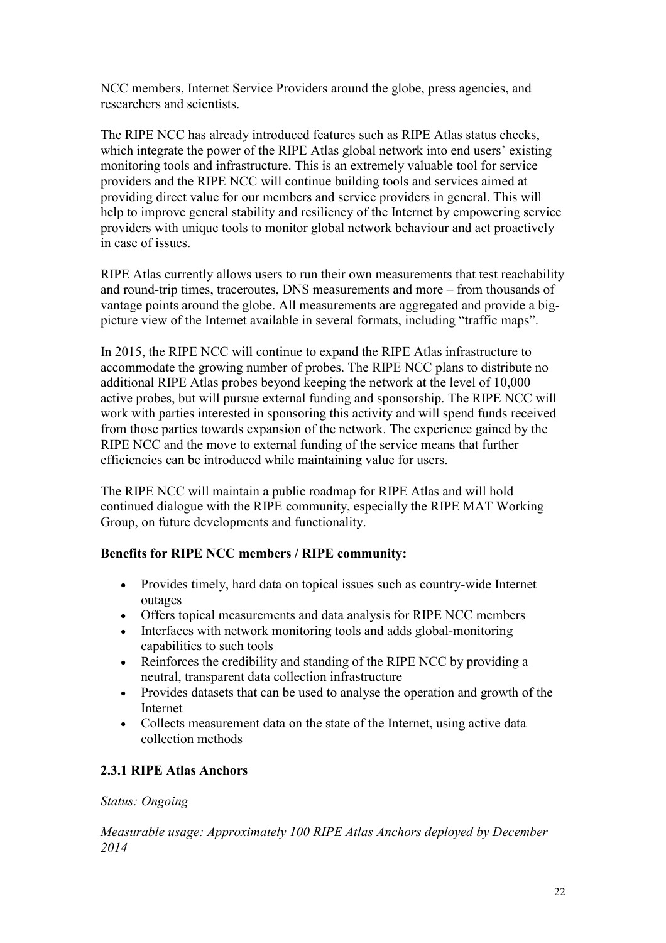NCC members, Internet Service Providers around the globe, press agencies, and researchers and scientists.

The RIPE NCC has already introduced features such as RIPE Atlas status checks, which integrate the power of the RIPE Atlas global network into end users' existing monitoring tools and infrastructure. This is an extremely valuable tool for service providers and the RIPE NCC will continue building tools and services aimed at providing direct value for our members and service providers in general. This will help to improve general stability and resiliency of the Internet by empowering service providers with unique tools to monitor global network behaviour and act proactively in case of issues.

RIPE Atlas currently allows users to run their own measurements that test reachability and round-trip times, traceroutes, DNS measurements and more – from thousands of vantage points around the globe. All measurements are aggregated and provide a bigpicture view of the Internet available in several formats, including "traffic maps".

In 2015, the RIPE NCC will continue to expand the RIPE Atlas infrastructure to accommodate the growing number of probes. The RIPE NCC plans to distribute no additional RIPE Atlas probes beyond keeping the network at the level of 10,000 active probes, but will pursue external funding and sponsorship. The RIPE NCC will work with parties interested in sponsoring this activity and will spend funds received from those parties towards expansion of the network. The experience gained by the RIPE NCC and the move to external funding of the service means that further efficiencies can be introduced while maintaining value for users.

The RIPE NCC will maintain a public roadmap for RIPE Atlas and will hold continued dialogue with the RIPE community, especially the RIPE MAT Working Group, on future developments and functionality.

#### **Benefits for RIPE NCC members / RIPE community:**

- Provides timely, hard data on topical issues such as country-wide Internet outages
- Offers topical measurements and data analysis for RIPE NCC members
- Interfaces with network monitoring tools and adds global-monitoring capabilities to such tools
- Reinforces the credibility and standing of the RIPE NCC by providing a neutral, transparent data collection infrastructure
- Provides datasets that can be used to analyse the operation and growth of the Internet
- Collects measurement data on the state of the Internet, using active data collection methods

# **2.3.1 RIPE Atlas Anchors**

#### *Status: Ongoing*

*Measurable usage: Approximately 100 RIPE Atlas Anchors deployed by December 2014*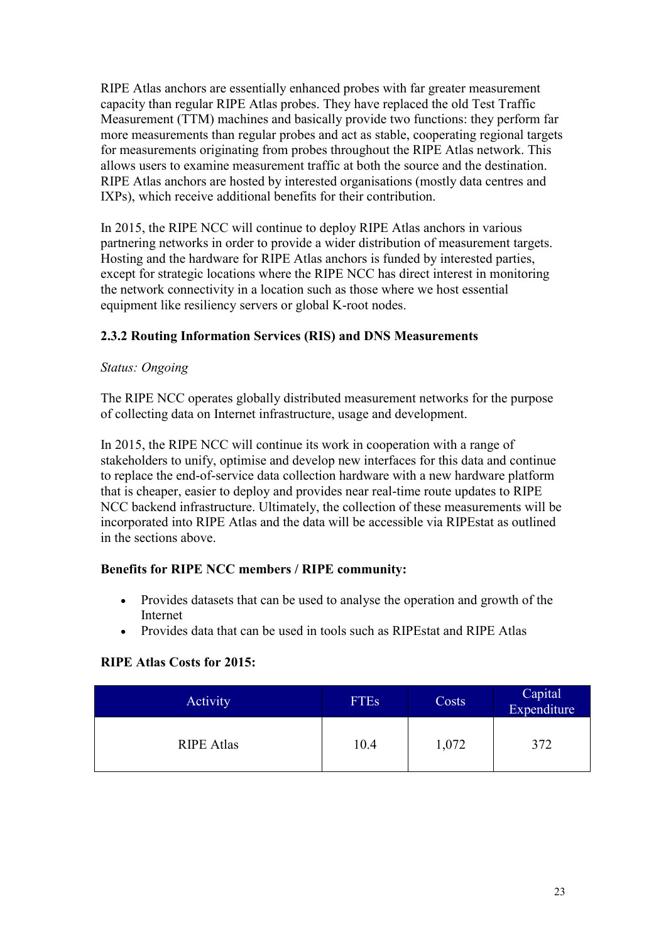RIPE Atlas anchors are essentially enhanced probes with far greater measurement capacity than regular RIPE Atlas probes. They have replaced the old Test Traffic Measurement (TTM) machines and basically provide two functions: they perform far more measurements than regular probes and act as stable, cooperating regional targets for measurements originating from probes throughout the RIPE Atlas network. This allows users to examine measurement traffic at both the source and the destination. RIPE Atlas anchors are hosted by interested organisations (mostly data centres and IXPs), which receive additional benefits for their contribution.

In 2015, the RIPE NCC will continue to deploy RIPE Atlas anchors in various partnering networks in order to provide a wider distribution of measurement targets. Hosting and the hardware for RIPE Atlas anchors is funded by interested parties, except for strategic locations where the RIPE NCC has direct interest in monitoring the network connectivity in a location such as those where we host essential equipment like resiliency servers or global K-root nodes.

# **2.3.2 Routing Information Services (RIS) and DNS Measurements**

## *Status: Ongoing*

The RIPE NCC operates globally distributed measurement networks for the purpose of collecting data on Internet infrastructure, usage and development.

In 2015, the RIPE NCC will continue its work in cooperation with a range of stakeholders to unify, optimise and develop new interfaces for this data and continue to replace the end-of-service data collection hardware with a new hardware platform that is cheaper, easier to deploy and provides near real-time route updates to RIPE NCC backend infrastructure. Ultimately, the collection of these measurements will be incorporated into RIPE Atlas and the data will be accessible via RIPEstat as outlined in the sections above.

#### **Benefits for RIPE NCC members / RIPE community:**

- Provides datasets that can be used to analyse the operation and growth of the Internet
- Provides data that can be used in tools such as RIPEstat and RIPE Atlas

# **RIPE Atlas Costs for 2015:**

<span id="page-22-0"></span>

| <b>Activity</b>   | <b>FTEs</b> | Costs | Capital<br>Expenditure |
|-------------------|-------------|-------|------------------------|
| <b>RIPE Atlas</b> | 10.4        | 1,072 | 372                    |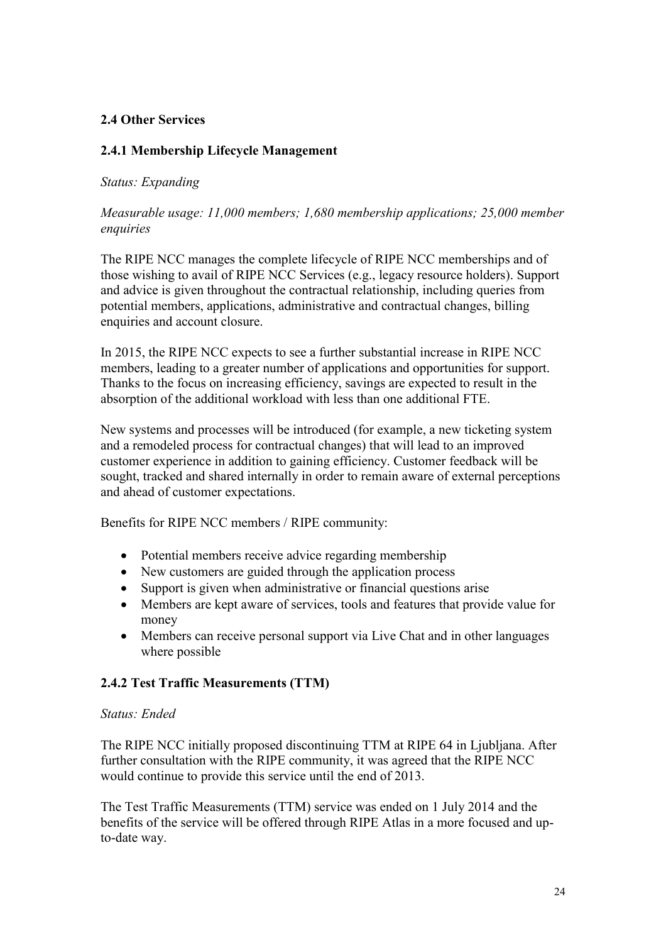#### **2.4 Other Services**

#### **2.4.1 Membership Lifecycle Management**

#### *Status: Expanding*

#### *Measurable usage: 11,000 members; 1,680 membership applications; 25,000 member enquiries*

The RIPE NCC manages the complete lifecycle of RIPE NCC memberships and of those wishing to avail of RIPE NCC Services (e.g., legacy resource holders). Support and advice is given throughout the contractual relationship, including queries from potential members, applications, administrative and contractual changes, billing enquiries and account closure.

In 2015, the RIPE NCC expects to see a further substantial increase in RIPE NCC members, leading to a greater number of applications and opportunities for support. Thanks to the focus on increasing efficiency, savings are expected to result in the absorption of the additional workload with less than one additional FTE.

New systems and processes will be introduced (for example, a new ticketing system and a remodeled process for contractual changes) that will lead to an improved customer experience in addition to gaining efficiency. Customer feedback will be sought, tracked and shared internally in order to remain aware of external perceptions and ahead of customer expectations.

Benefits for RIPE NCC members / RIPE community:

- Potential members receive advice regarding membership
- New customers are guided through the application process
- Support is given when administrative or financial questions arise
- Members are kept aware of services, tools and features that provide value for money
- Members can receive personal support via Live Chat and in other languages where possible

#### **2.4.2 Test Traffic Measurements (TTM)**

#### *Status: Ended*

The RIPE NCC initially proposed discontinuing TTM at RIPE 64 in Ljubljana. After further consultation with the RIPE community, it was agreed that the RIPE NCC would continue to provide this service until the end of 2013.

The Test Traffic Measurements (TTM) service was ended on 1 July 2014 and the benefits of the service will be offered through RIPE Atlas in a more focused and upto-date way.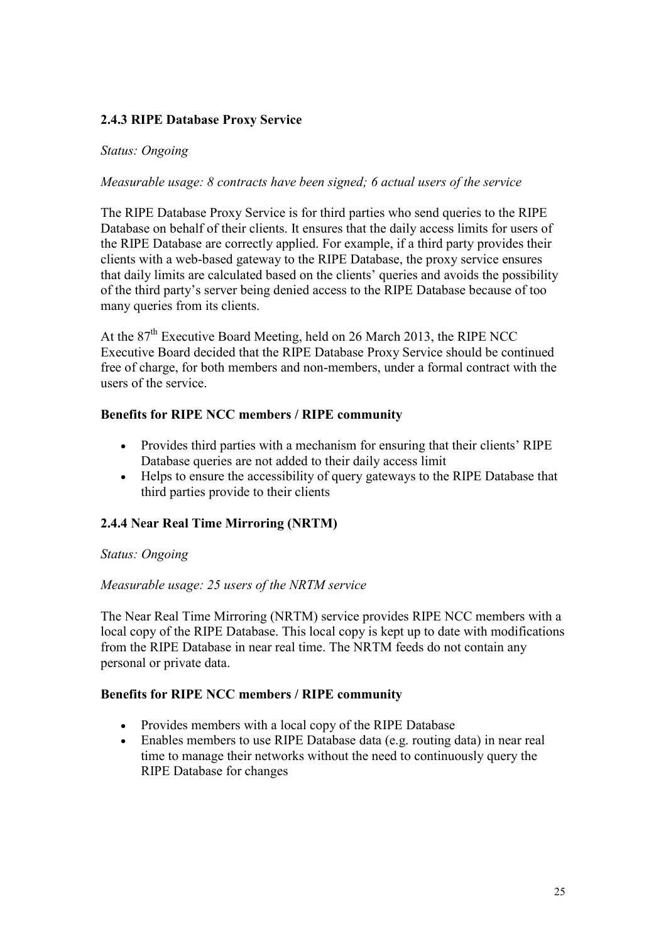#### **2.4.3 RIPE Database Proxy Service**

#### *Status: Ongoing*

#### *Measurable usage: 8 contracts have been signed; 6 actual users of the service*

The RIPE Database Proxy Service is for third parties who send queries to the RIPE Database on behalf of their clients. It ensures that the daily access limits for users of the RIPE Database are correctly applied. For example, if a third party provides their clients with a web-based gateway to the RIPE Database, the proxy service ensures that daily limits are calculated based on the clients' queries and avoids the possibility of the third party's server being denied access to the RIPE Database because of too many queries from its clients.

At the  $87<sup>th</sup>$  Executive Board Meeting, held on 26 March 2013, the RIPE NCC Executive Board decided that the RIPE Database Proxy Service should be continued free of charge, for both members and non-members, under a formal contract with the users of the service.

#### **Benefits for RIPE NCC members / RIPE community**

- Provides third parties with a mechanism for ensuring that their clients' RIPE Database queries are not added to their daily access limit
- Helps to ensure the accessibility of query gateways to the RIPE Database that third parties provide to their clients

#### **2.4.4 Near Real Time Mirroring (NRTM)**

#### *Status: Ongoing*

#### *Measurable usage: 25 users of the NRTM service*

The Near Real Time Mirroring (NRTM) service provides RIPE NCC members with a local copy of the RIPE Database. This local copy is kept up to date with modifications from the RIPE Database in near real time. The NRTM feeds do not contain any personal or private data.

#### **Benefits for RIPE NCC members / RIPE community**

- Provides members with a local copy of the RIPE Database
- Enables members to use RIPE Database data (e.g. routing data) in near real time to manage their networks without the need to continuously query the RIPE Database for changes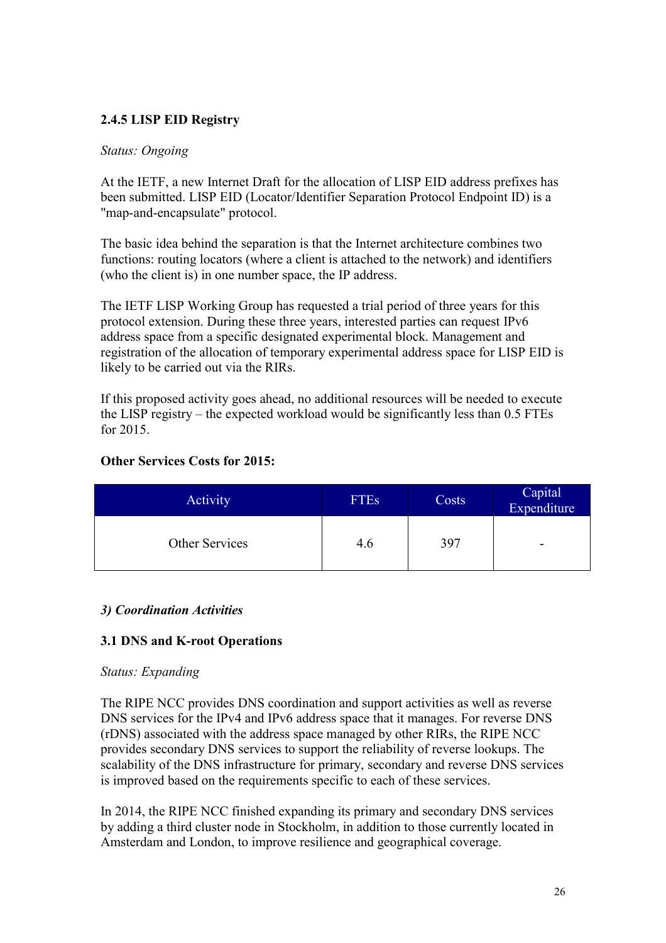## **2.4.5 LISP EID Registry**

#### *Status: Ongoing*

At the IETF, a new Internet Draft for the allocation of LISP EID address prefixes has been submitted. LISP EID (Locator/Identifier Separation Protocol Endpoint ID) is a "map-and-encapsulate" protocol.

The basic idea behind the separation is that the Internet architecture combines two functions: routing locators (where a client is attached to the network) and identifiers (who the client is) in one number space, the IP address.

The IETF LISP Working Group has requested a trial period of three years for this protocol extension. During these three years, interested parties can request IPv6 address space from a specific designated experimental block. Management and registration of the allocation of temporary experimental address space for LISP EID is likely to be carried out via the RIRs.

If this proposed activity goes ahead, no additional resources will be needed to execute the LISP registry – the expected workload would be significantly less than 0.5 FTEs for 2015.

## **Other Services Costs for 2015:**

| <b>Activity</b> | <b>FTEs</b> | Costs | Capital<br>Expenditure |
|-----------------|-------------|-------|------------------------|
| Other Services  | 4.6         | 397   | -                      |

#### <span id="page-25-0"></span>*3) Coordination Activities*

#### <span id="page-25-1"></span>**3.1 DNS and K-root Operations**

#### *Status: Expanding*

The RIPE NCC provides DNS coordination and support activities as well as reverse DNS services for the IPv4 and IPv6 address space that it manages. For reverse DNS (rDNS) associated with the address space managed by other RIRs, the RIPE NCC provides secondary DNS services to support the reliability of reverse lookups. The scalability of the DNS infrastructure for primary, secondary and reverse DNS services is improved based on the requirements specific to each of these services.

In 2014, the RIPE NCC finished expanding its primary and secondary DNS services by adding a third cluster node in Stockholm, in addition to those currently located in Amsterdam and London, to improve resilience and geographical coverage.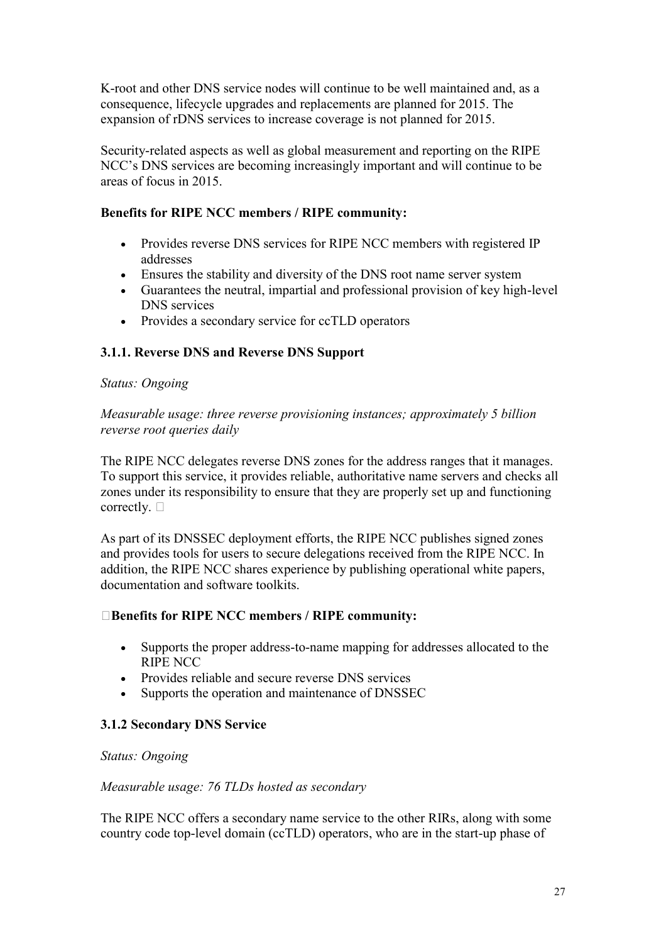K-root and other DNS service nodes will continue to be well maintained and, as a consequence, lifecycle upgrades and replacements are planned for 2015. The expansion of rDNS services to increase coverage is not planned for 2015.

Security-related aspects as well as global measurement and reporting on the RIPE NCC's DNS services are becoming increasingly important and will continue to be areas of focus in 2015.

#### **Benefits for RIPE NCC members / RIPE community:**

- Provides reverse DNS services for RIPE NCC members with registered IP addresses
- Ensures the stability and diversity of the DNS root name server system
- Guarantees the neutral, impartial and professional provision of key high-level DNS services
- Provides a secondary service for ccTLD operators

# **3.1.1. Reverse DNS and Reverse DNS Support**

#### *Status: Ongoing*

*Measurable usage: three reverse provisioning instances; approximately 5 billion reverse root queries daily*

The RIPE NCC delegates reverse DNS zones for the address ranges that it manages. To support this service, it provides reliable, authoritative name servers and checks all zones under its responsibility to ensure that they are properly set up and functioning correctly.  $\square$ 

As part of its DNSSEC deployment efforts, the RIPE NCC publishes signed zones and provides tools for users to secure delegations received from the RIPE NCC. In addition, the RIPE NCC shares experience by publishing operational white papers, documentation and software toolkits.

#### **Benefits for RIPE NCC members / RIPE community:**

- Supports the proper address-to-name mapping for addresses allocated to the RIPE NCC
- Provides reliable and secure reverse DNS services
- Supports the operation and maintenance of DNSSEC

# **3.1.2 Secondary DNS Service**

# *Status: Ongoing*

#### *Measurable usage: 76 TLDs hosted as secondary*

The RIPE NCC offers a secondary name service to the other RIRs, along with some country code top-level domain (ccTLD) operators, who are in the start-up phase of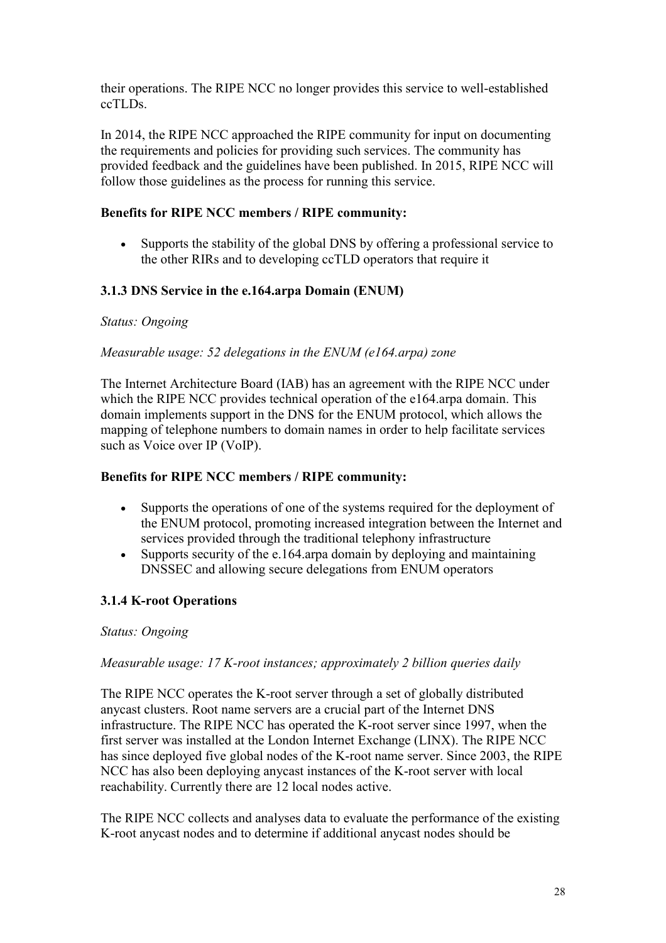their operations. The RIPE NCC no longer provides this service to well-established ccTLDs.

In 2014, the RIPE NCC approached the RIPE community for input on documenting the requirements and policies for providing such services. The community has provided feedback and the guidelines have been published. In 2015, RIPE NCC will follow those guidelines as the process for running this service.

#### **Benefits for RIPE NCC members / RIPE community:**

 Supports the stability of the global DNS by offering a professional service to the other RIRs and to developing ccTLD operators that require it

#### **3.1.3 DNS Service in the e.164.arpa Domain (ENUM)**

#### *Status: Ongoing*

#### *Measurable usage: 52 delegations in the ENUM (e164.arpa) zone*

The Internet Architecture Board (IAB) has an agreement with the RIPE NCC under which the RIPE NCC provides technical operation of the e164.arpa domain. This domain implements support in the DNS for the ENUM protocol, which allows the mapping of telephone numbers to domain names in order to help facilitate services such as Voice over IP (VoIP).

#### **Benefits for RIPE NCC members / RIPE community:**

- Supports the operations of one of the systems required for the deployment of the ENUM protocol, promoting increased integration between the Internet and services provided through the traditional telephony infrastructure
- Supports security of the e.164.arpa domain by deploying and maintaining DNSSEC and allowing secure delegations from ENUM operators

#### **3.1.4 K-root Operations**

#### *Status: Ongoing*

#### *Measurable usage: 17 K-root instances; approximately 2 billion queries daily*

The RIPE NCC operates the K-root server through a set of globally distributed anycast clusters. Root name servers are a crucial part of the Internet DNS infrastructure. The RIPE NCC has operated the K-root server since 1997, when the first server was installed at the London Internet Exchange (LINX). The RIPE NCC has since deployed five global nodes of the K-root name server. Since 2003, the RIPE NCC has also been deploying anycast instances of the K-root server with local reachability. Currently there are 12 local nodes active.

The RIPE NCC collects and analyses data to evaluate the performance of the existing K-root anycast nodes and to determine if additional anycast nodes should be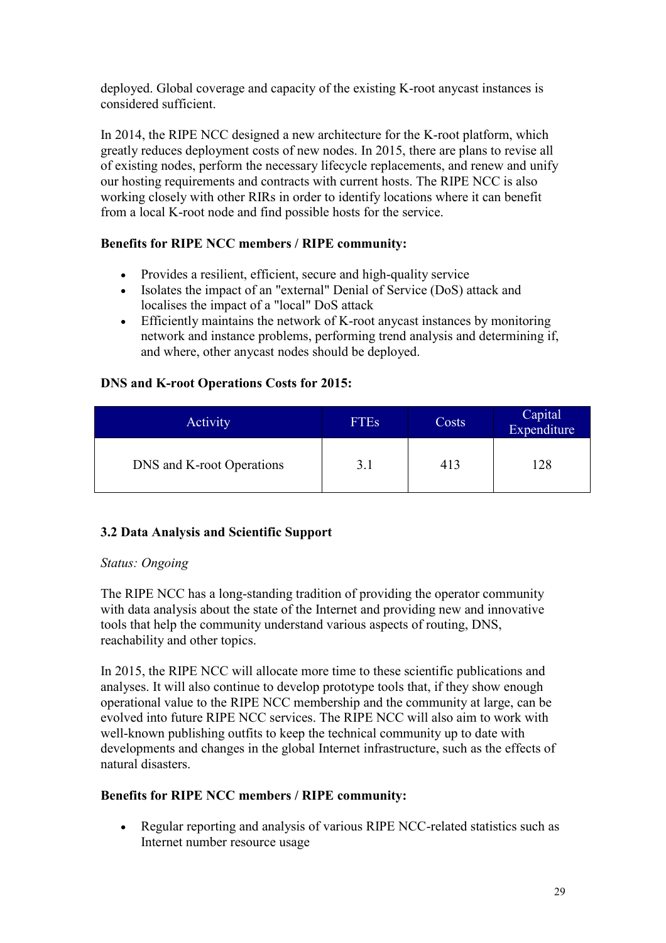deployed. Global coverage and capacity of the existing K-root anycast instances is considered sufficient.

In 2014, the RIPE NCC designed a new architecture for the K-root platform, which greatly reduces deployment costs of new nodes. In 2015, there are plans to revise all of existing nodes, perform the necessary lifecycle replacements, and renew and unify our hosting requirements and contracts with current hosts. The RIPE NCC is also working closely with other RIRs in order to identify locations where it can benefit from a local K-root node and find possible hosts for the service.

## **Benefits for RIPE NCC members / RIPE community:**

- Provides a resilient, efficient, secure and high-quality service
- Isolates the impact of an "external" Denial of Service (DoS) attack and localises the impact of a "local" DoS attack
- Efficiently maintains the network of K-root anycast instances by monitoring network and instance problems, performing trend analysis and determining if, and where, other anycast nodes should be deployed.

## **DNS and K-root Operations Costs for 2015:**

| Activity                  | <b>FTEs</b> | Costs | Capital<br>Expenditure |
|---------------------------|-------------|-------|------------------------|
| DNS and K-root Operations | 3.1         | 413   | 128                    |

# <span id="page-28-0"></span>**3.2 Data Analysis and Scientific Support**

#### *Status: Ongoing*

The RIPE NCC has a long-standing tradition of providing the operator community with data analysis about the state of the Internet and providing new and innovative tools that help the community understand various aspects of routing, DNS, reachability and other topics.

In 2015, the RIPE NCC will allocate more time to these scientific publications and analyses. It will also continue to develop prototype tools that, if they show enough operational value to the RIPE NCC membership and the community at large, can be evolved into future RIPE NCC services. The RIPE NCC will also aim to work with well-known publishing outfits to keep the technical community up to date with developments and changes in the global Internet infrastructure, such as the effects of natural disasters.

#### **Benefits for RIPE NCC members / RIPE community:**

 Regular reporting and analysis of various RIPE NCC-related statistics such as Internet number resource usage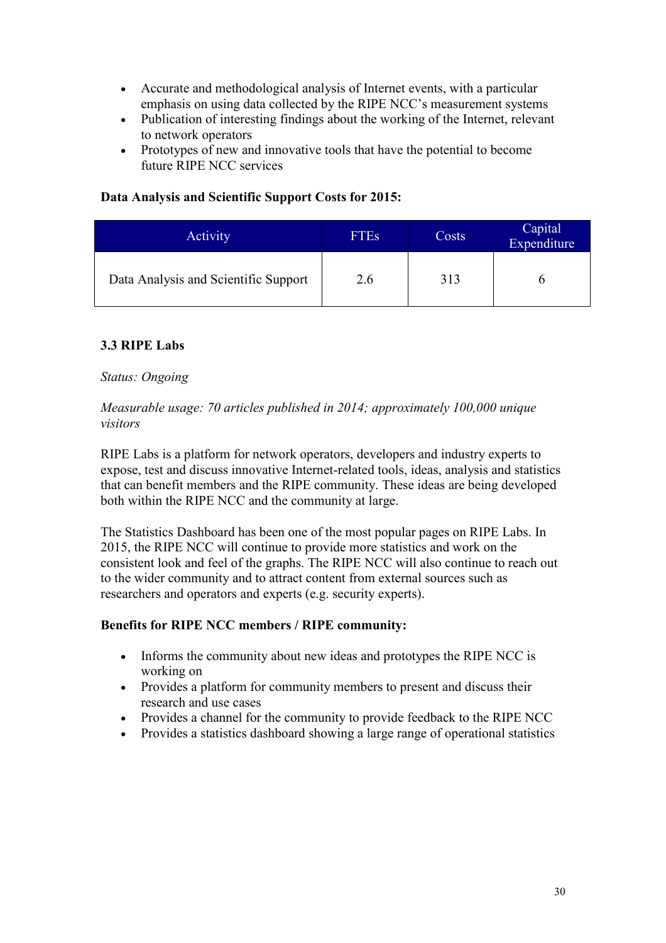- Accurate and methodological analysis of Internet events, with a particular emphasis on using data collected by the RIPE NCC's measurement systems
- Publication of interesting findings about the working of the Internet, relevant to network operators
- Prototypes of new and innovative tools that have the potential to become future RIPE NCC services

## **Data Analysis and Scientific Support Costs for 2015:**

| Activity                             | <b>FTEs</b> | Costs | Capital<br>Expenditure |
|--------------------------------------|-------------|-------|------------------------|
| Data Analysis and Scientific Support | 2.6         | 313   |                        |

## <span id="page-29-0"></span>**3.3 RIPE Labs**

#### *Status: Ongoing*

#### *Measurable usage: 70 articles published in 2014; approximately 100,000 unique visitors*

RIPE Labs is a platform for network operators, developers and industry experts to expose, test and discuss innovative Internet-related tools, ideas, analysis and statistics that can benefit members and the RIPE community. These ideas are being developed both within the RIPE NCC and the community at large.

The Statistics Dashboard has been one of the most popular pages on RIPE Labs. In 2015, the RIPE NCC will continue to provide more statistics and work on the consistent look and feel of the graphs. The RIPE NCC will also continue to reach out to the wider community and to attract content from external sources such as researchers and operators and experts (e.g. security experts).

#### **Benefits for RIPE NCC members / RIPE community:**

- Informs the community about new ideas and prototypes the RIPE NCC is working on
- Provides a platform for community members to present and discuss their research and use cases
- Provides a channel for the community to provide feedback to the RIPE NCC
- Provides a statistics dashboard showing a large range of operational statistics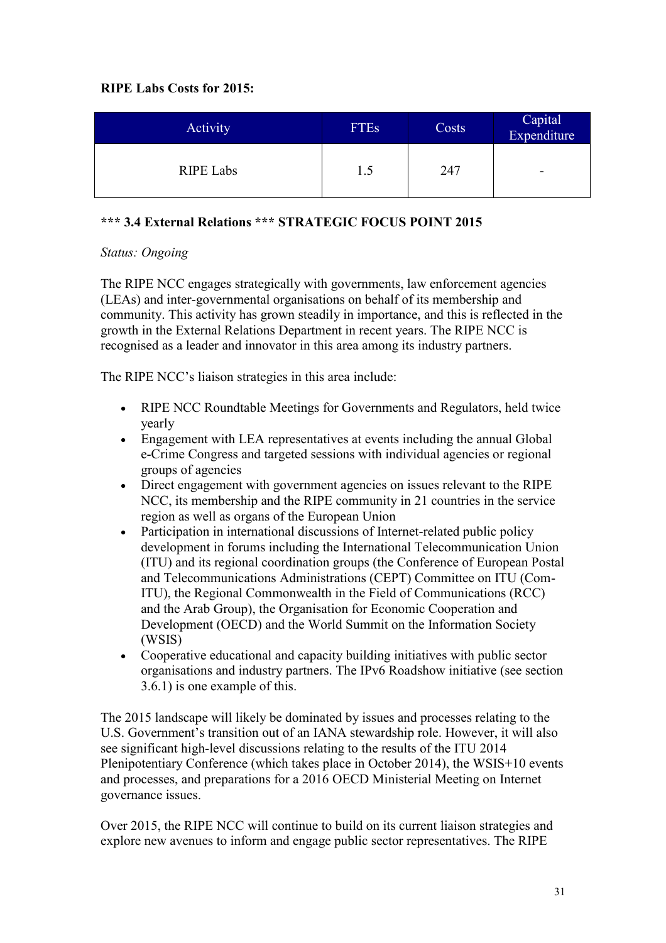## **RIPE Labs Costs for 2015:**

| <b>Activity</b>  | <b>FTEs</b> | Costs | Capital<br>Expenditure   |
|------------------|-------------|-------|--------------------------|
| <b>RIPE Labs</b> | 1.5         | 247   | $\overline{\phantom{0}}$ |

# <span id="page-30-0"></span>**\*\*\* 3.4 External Relations \*\*\* STRATEGIC FOCUS POINT 2015**

#### *Status: Ongoing*

The RIPE NCC engages strategically with governments, law enforcement agencies (LEAs) and inter-governmental organisations on behalf of its membership and community. This activity has grown steadily in importance, and this is reflected in the growth in the External Relations Department in recent years. The RIPE NCC is recognised as a leader and innovator in this area among its industry partners.

The RIPE NCC's liaison strategies in this area include:

- RIPE NCC Roundtable Meetings for Governments and Regulators, held twice yearly
- Engagement with LEA representatives at events including the annual Global e-Crime Congress and targeted sessions with individual agencies or regional groups of agencies
- Direct engagement with government agencies on issues relevant to the RIPE NCC, its membership and the RIPE community in 21 countries in the service region as well as organs of the European Union
- Participation in international discussions of Internet-related public policy development in forums including the International Telecommunication Union (ITU) and its regional coordination groups (the Conference of European Postal and Telecommunications Administrations (CEPT) Committee on ITU (Com-ITU), the Regional Commonwealth in the Field of Communications (RCC) and the Arab Group), the Organisation for Economic Cooperation and Development (OECD) and the World Summit on the Information Society (WSIS)
- Cooperative educational and capacity building initiatives with public sector organisations and industry partners. The IPv6 Roadshow initiative (see section 3.6.1) is one example of this.

The 2015 landscape will likely be dominated by issues and processes relating to the U.S. Government's transition out of an IANA stewardship role. However, it will also see significant high-level discussions relating to the results of the ITU 2014 Plenipotentiary Conference (which takes place in October 2014), the WSIS+10 events and processes, and preparations for a 2016 OECD Ministerial Meeting on Internet governance issues.

Over 2015, the RIPE NCC will continue to build on its current liaison strategies and explore new avenues to inform and engage public sector representatives. The RIPE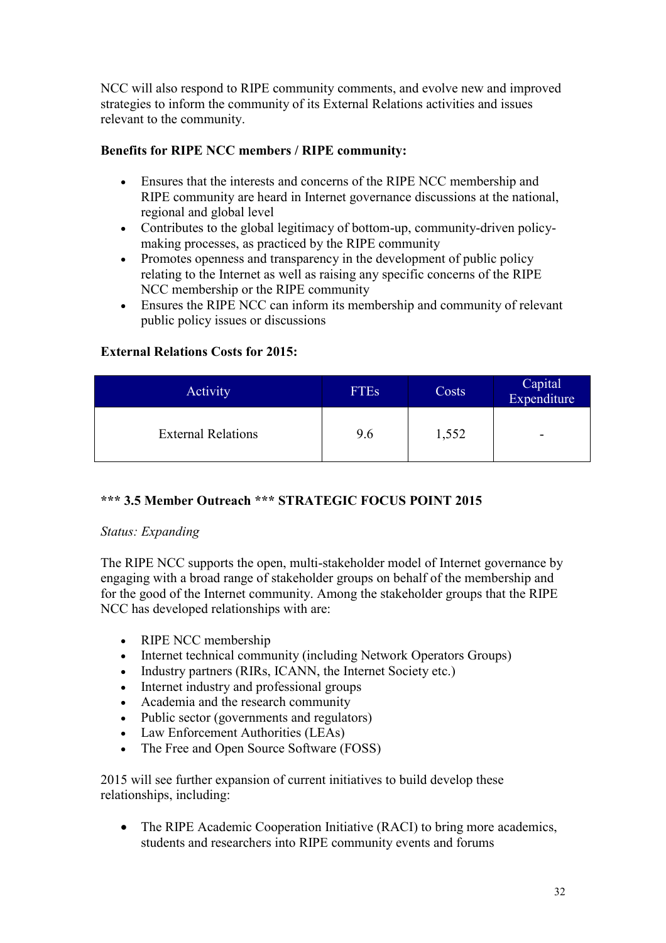NCC will also respond to RIPE community comments, and evolve new and improved strategies to inform the community of its External Relations activities and issues relevant to the community.

## **Benefits for RIPE NCC members / RIPE community:**

- Ensures that the interests and concerns of the RIPE NCC membership and RIPE community are heard in Internet governance discussions at the national, regional and global level
- Contributes to the global legitimacy of bottom-up, community-driven policymaking processes, as practiced by the RIPE community
- Promotes openness and transparency in the development of public policy relating to the Internet as well as raising any specific concerns of the RIPE NCC membership or the RIPE community
- Ensures the RIPE NCC can inform its membership and community of relevant public policy issues or discussions

## **External Relations Costs for 2015:**

| Activity                  | <b>FTEs</b> | Costs | Capital<br>Expenditure |
|---------------------------|-------------|-------|------------------------|
| <b>External Relations</b> | 9.6         | 1,552 | -                      |

# <span id="page-31-0"></span>**\*\*\* 3.5 Member Outreach \*\*\* STRATEGIC FOCUS POINT 2015**

#### *Status: Expanding*

The RIPE NCC supports the open, multi-stakeholder model of Internet governance by engaging with a broad range of stakeholder groups on behalf of the membership and for the good of the Internet community. Among the stakeholder groups that the RIPE NCC has developed relationships with are:

- RIPE NCC membership
- Internet technical community (including Network Operators Groups)
- Industry partners (RIRs, ICANN, the Internet Society etc.)
- Internet industry and professional groups
- Academia and the research community
- Public sector (governments and regulators)
- Law Enforcement Authorities (LEAs)
- The Free and Open Source Software (FOSS)

2015 will see further expansion of current initiatives to build develop these relationships, including:

• The RIPE Academic Cooperation Initiative (RACI) to bring more academics, students and researchers into RIPE community events and forums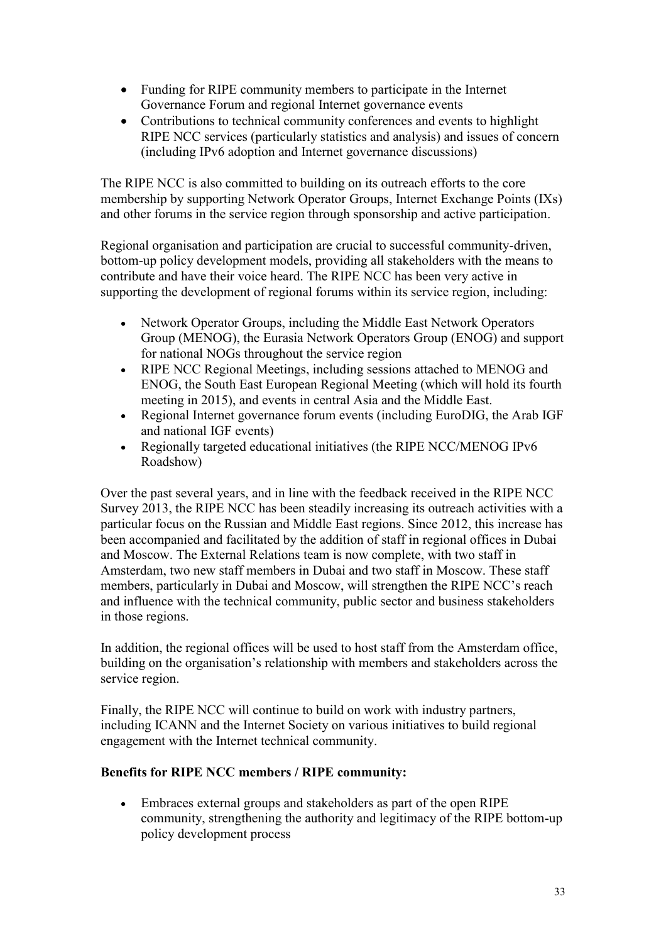- Funding for RIPE community members to participate in the Internet Governance Forum and regional Internet governance events
- Contributions to technical community conferences and events to highlight RIPE NCC services (particularly statistics and analysis) and issues of concern (including IPv6 adoption and Internet governance discussions)

The RIPE NCC is also committed to building on its outreach efforts to the core membership by supporting Network Operator Groups, Internet Exchange Points (IXs) and other forums in the service region through sponsorship and active participation.

Regional organisation and participation are crucial to successful community-driven, bottom-up policy development models, providing all stakeholders with the means to contribute and have their voice heard. The RIPE NCC has been very active in supporting the development of regional forums within its service region, including:

- Network Operator Groups, including the Middle East Network Operators Group (MENOG), the Eurasia Network Operators Group (ENOG) and support for national NOGs throughout the service region
- RIPE NCC Regional Meetings, including sessions attached to MENOG and ENOG, the South East European Regional Meeting (which will hold its fourth meeting in 2015), and events in central Asia and the Middle East.
- Regional Internet governance forum events (including EuroDIG, the Arab IGF and national IGF events)
- Regionally targeted educational initiatives (the RIPE NCC/MENOG IPv6 Roadshow)

Over the past several years, and in line with the feedback received in the RIPE NCC Survey 2013, the RIPE NCC has been steadily increasing its outreach activities with a particular focus on the Russian and Middle East regions. Since 2012, this increase has been accompanied and facilitated by the addition of staff in regional offices in Dubai and Moscow. The External Relations team is now complete, with two staff in Amsterdam, two new staff members in Dubai and two staff in Moscow. These staff members, particularly in Dubai and Moscow, will strengthen the RIPE NCC's reach and influence with the technical community, public sector and business stakeholders in those regions.

In addition, the regional offices will be used to host staff from the Amsterdam office, building on the organisation's relationship with members and stakeholders across the service region.

Finally, the RIPE NCC will continue to build on work with industry partners, including ICANN and the Internet Society on various initiatives to build regional engagement with the Internet technical community.

#### **Benefits for RIPE NCC members / RIPE community:**

 Embraces external groups and stakeholders as part of the open RIPE community, strengthening the authority and legitimacy of the RIPE bottom-up policy development process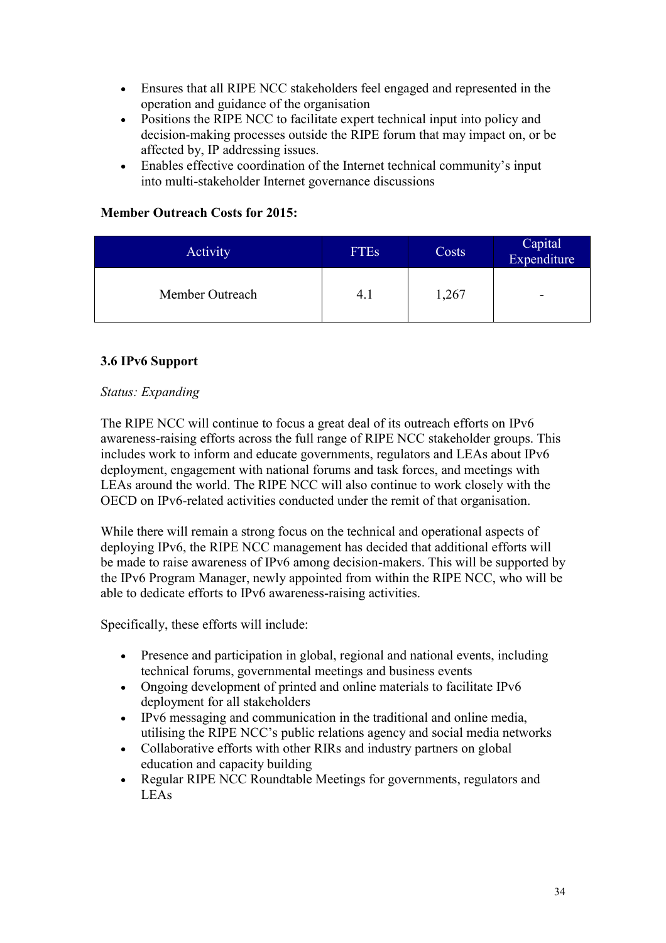- Ensures that all RIPE NCC stakeholders feel engaged and represented in the operation and guidance of the organisation
- Positions the RIPE NCC to facilitate expert technical input into policy and decision-making processes outside the RIPE forum that may impact on, or be affected by, IP addressing issues.
- Enables effective coordination of the Internet technical community's input into multi-stakeholder Internet governance discussions

#### **Member Outreach Costs for 2015:**

| Activity        | FTE <sub>s</sub> | Costs | Capital<br>Expenditure |
|-----------------|------------------|-------|------------------------|
| Member Outreach | 4. J             | 1,267 | -                      |

## <span id="page-33-0"></span>**3.6 IPv6 Support**

#### *Status: Expanding*

The RIPE NCC will continue to focus a great deal of its outreach efforts on IPv6 awareness-raising efforts across the full range of RIPE NCC stakeholder groups. This includes work to inform and educate governments, regulators and LEAs about IPv6 deployment, engagement with national forums and task forces, and meetings with LEAs around the world. The RIPE NCC will also continue to work closely with the OECD on IPv6-related activities conducted under the remit of that organisation.

While there will remain a strong focus on the technical and operational aspects of deploying IPv6, the RIPE NCC management has decided that additional efforts will be made to raise awareness of IPv6 among decision-makers. This will be supported by the IPv6 Program Manager, newly appointed from within the RIPE NCC, who will be able to dedicate efforts to IPv6 awareness-raising activities.

Specifically, these efforts will include:

- Presence and participation in global, regional and national events, including technical forums, governmental meetings and business events
- Ongoing development of printed and online materials to facilitate IPv6 deployment for all stakeholders
- IPv6 messaging and communication in the traditional and online media, utilising the RIPE NCC's public relations agency and social media networks
- Collaborative efforts with other RIRs and industry partners on global education and capacity building
- Regular RIPE NCC Roundtable Meetings for governments, regulators and LEAs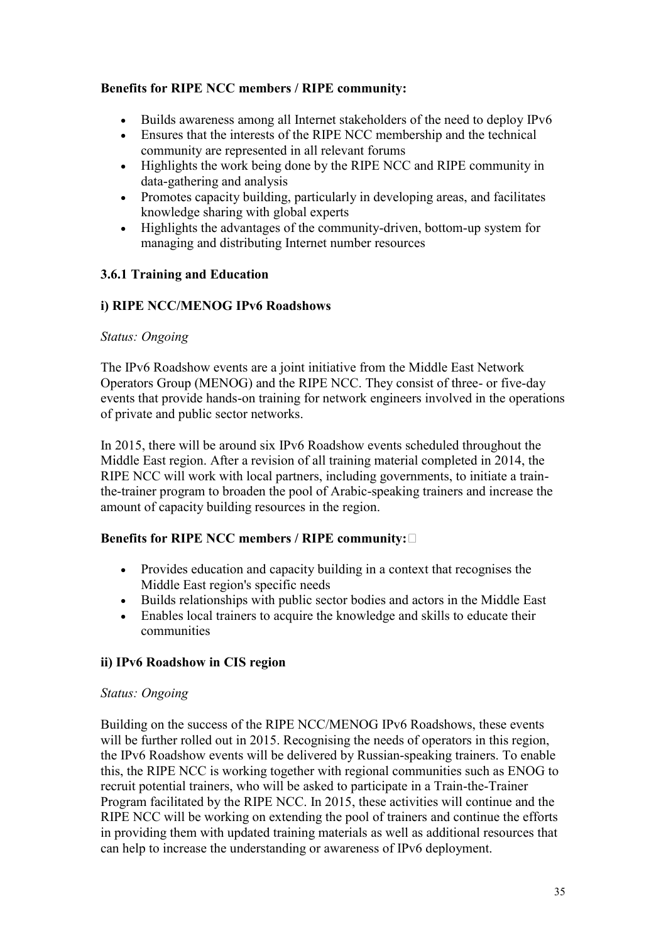#### **Benefits for RIPE NCC members / RIPE community:**

- Builds awareness among all Internet stakeholders of the need to deploy IPv6
- Ensures that the interests of the RIPE NCC membership and the technical community are represented in all relevant forums
- Highlights the work being done by the RIPE NCC and RIPE community in data-gathering and analysis
- Promotes capacity building, particularly in developing areas, and facilitates knowledge sharing with global experts
- Highlights the advantages of the community-driven, bottom-up system for managing and distributing Internet number resources

## **3.6.1 Training and Education**

## **i) RIPE NCC/MENOG IPv6 Roadshows**

#### *Status: Ongoing*

The IPv6 Roadshow events are a joint initiative from the Middle East Network Operators Group (MENOG) and the RIPE NCC. They consist of three- or five-day events that provide hands-on training for network engineers involved in the operations of private and public sector networks.

In 2015, there will be around six IPv6 Roadshow events scheduled throughout the Middle East region. After a revision of all training material completed in 2014, the RIPE NCC will work with local partners, including governments, to initiate a trainthe-trainer program to broaden the pool of Arabic-speaking trainers and increase the amount of capacity building resources in the region.

# **Benefits for RIPE NCC members / RIPE community:**

- Provides education and capacity building in a context that recognises the Middle East region's specific needs
- Builds relationships with public sector bodies and actors in the Middle East
- Enables local trainers to acquire the knowledge and skills to educate their communities

# **ii) IPv6 Roadshow in CIS region**

#### *Status: Ongoing*

Building on the success of the RIPE NCC/MENOG IPv6 Roadshows, these events will be further rolled out in 2015. Recognising the needs of operators in this region, the IPv6 Roadshow events will be delivered by Russian-speaking trainers. To enable this, the RIPE NCC is working together with regional communities such as ENOG to recruit potential trainers, who will be asked to participate in a Train-the-Trainer Program facilitated by the RIPE NCC. In 2015, these activities will continue and the RIPE NCC will be working on extending the pool of trainers and continue the efforts in providing them with updated training materials as well as additional resources that can help to increase the understanding or awareness of IPv6 deployment.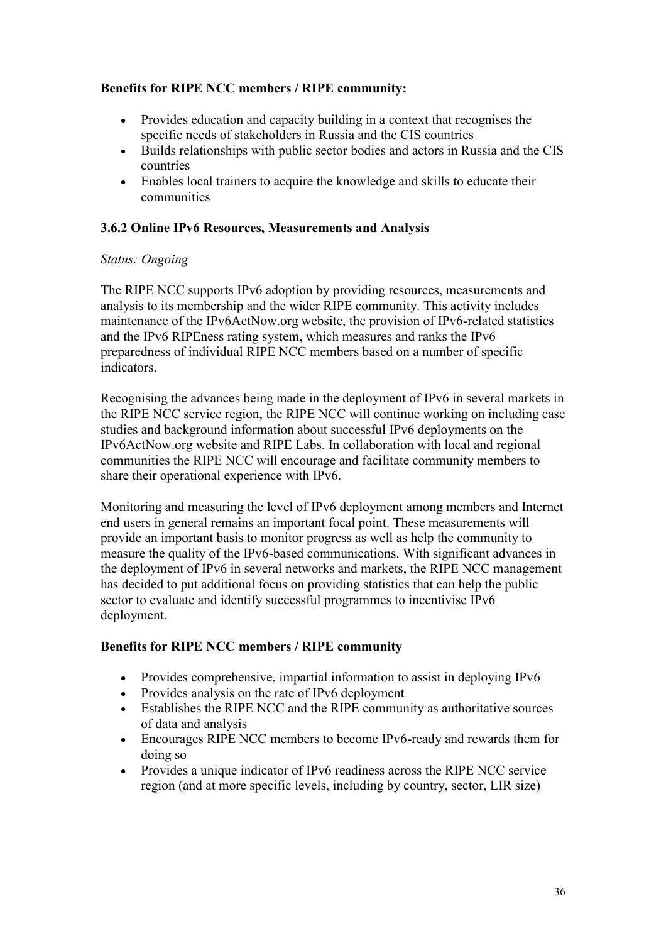## **Benefits for RIPE NCC members / RIPE community:**

- Provides education and capacity building in a context that recognises the specific needs of stakeholders in Russia and the CIS countries
- Builds relationships with public sector bodies and actors in Russia and the CIS countries
- Enables local trainers to acquire the knowledge and skills to educate their communities

#### **3.6.2 Online IPv6 Resources, Measurements and Analysis**

#### *Status: Ongoing*

The RIPE NCC supports IPv6 adoption by providing resources, measurements and analysis to its membership and the wider RIPE community. This activity includes maintenance of the IPv6ActNow.org website, the provision of IPv6-related statistics and the IPv6 RIPEness rating system, which measures and ranks the IPv6 preparedness of individual RIPE NCC members based on a number of specific indicators.

Recognising the advances being made in the deployment of IPv6 in several markets in the RIPE NCC service region, the RIPE NCC will continue working on including case studies and background information about successful IPv6 deployments on the IPv6ActNow.org website and RIPE Labs. In collaboration with local and regional communities the RIPE NCC will encourage and facilitate community members to share their operational experience with IPv6.

Monitoring and measuring the level of IPv6 deployment among members and Internet end users in general remains an important focal point. These measurements will provide an important basis to monitor progress as well as help the community to measure the quality of the IPv6-based communications. With significant advances in the deployment of IPv6 in several networks and markets, the RIPE NCC management has decided to put additional focus on providing statistics that can help the public sector to evaluate and identify successful programmes to incentivise IPv6 deployment.

#### **Benefits for RIPE NCC members / RIPE community**

- Provides comprehensive, impartial information to assist in deploying IPv6
- Provides analysis on the rate of IPv6 deployment
- Establishes the RIPE NCC and the RIPE community as authoritative sources of data and analysis
- Encourages RIPE NCC members to become IPv6-ready and rewards them for doing so
- Provides a unique indicator of IPv6 readiness across the RIPE NCC service region (and at more specific levels, including by country, sector, LIR size)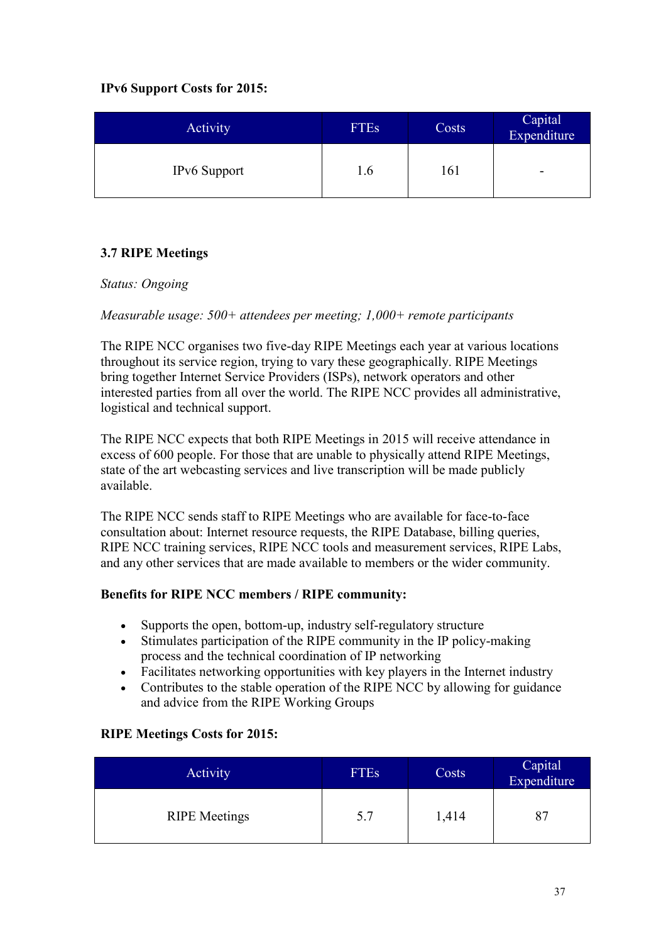# **IPv6 Support Costs for 2015:**

| <b>Activity</b>     | <b>FTEs</b> | Costs | Capital <sup>1</sup><br>Expenditure |
|---------------------|-------------|-------|-------------------------------------|
| <b>IPv6</b> Support | l.6         | .61   | -                                   |

# <span id="page-36-0"></span>**3.7 RIPE Meetings**

#### *Status: Ongoing*

## *Measurable usage: 500+ attendees per meeting; 1,000+ remote participants*

The RIPE NCC organises two five-day RIPE Meetings each year at various locations throughout its service region, trying to vary these geographically. RIPE Meetings bring together Internet Service Providers (ISPs), network operators and other interested parties from all over the world. The RIPE NCC provides all administrative, logistical and technical support.

The RIPE NCC expects that both RIPE Meetings in 2015 will receive attendance in excess of 600 people. For those that are unable to physically attend RIPE Meetings, state of the art webcasting services and live transcription will be made publicly available.

The RIPE NCC sends staff to RIPE Meetings who are available for face-to-face consultation about: Internet resource requests, the RIPE Database, billing queries, RIPE NCC training services, RIPE NCC tools and measurement services, RIPE Labs, and any other services that are made available to members or the wider community.

#### **Benefits for RIPE NCC members / RIPE community:**

- Supports the open, bottom-up, industry self-regulatory structure
- Stimulates participation of the RIPE community in the IP policy-making process and the technical coordination of IP networking
- Facilitates networking opportunities with key players in the Internet industry
- Contributes to the stable operation of the RIPE NCC by allowing for guidance and advice from the RIPE Working Groups

#### **RIPE Meetings Costs for 2015:**

| <b>Activity</b>      | <b>FTEs</b> | Costs | Capital<br>Expenditure |
|----------------------|-------------|-------|------------------------|
| <b>RIPE</b> Meetings | 5.7         | 1,414 | 87                     |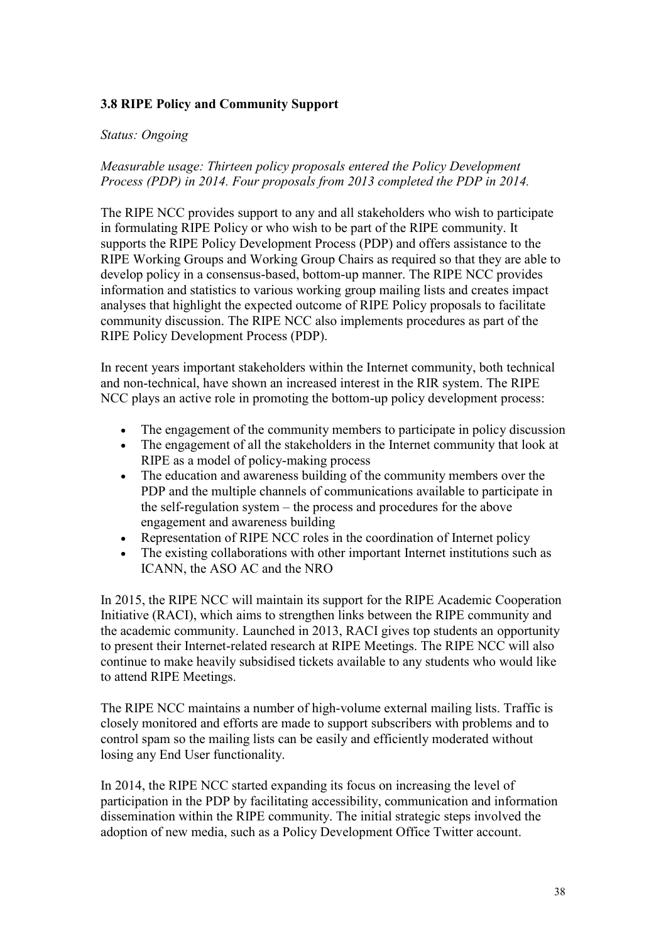#### <span id="page-37-0"></span>**3.8 RIPE Policy and Community Support**

#### *Status: Ongoing*

*Measurable usage: Thirteen policy proposals entered the Policy Development Process (PDP) in 2014. Four proposals from 2013 completed the PDP in 2014.*

The RIPE NCC provides support to any and all stakeholders who wish to participate in formulating RIPE Policy or who wish to be part of the RIPE community. It supports the RIPE Policy Development Process (PDP) and offers assistance to the RIPE Working Groups and Working Group Chairs as required so that they are able to develop policy in a consensus-based, bottom-up manner. The RIPE NCC provides information and statistics to various working group mailing lists and creates impact analyses that highlight the expected outcome of RIPE Policy proposals to facilitate community discussion. The RIPE NCC also implements procedures as part of the RIPE Policy Development Process (PDP).

In recent years important stakeholders within the Internet community, both technical and non-technical, have shown an increased interest in the RIR system. The RIPE NCC plays an active role in promoting the bottom-up policy development process:

- The engagement of the community members to participate in policy discussion<br>• The engagement of all the stakeholders in the Internet community that look at
- The engagement of all the stakeholders in the Internet community that look at RIPE as a model of policy-making process
- The education and awareness building of the community members over the PDP and the multiple channels of communications available to participate in the self-regulation system – the process and procedures for the above engagement and awareness building
- Representation of RIPE NCC roles in the coordination of Internet policy
- The existing collaborations with other important Internet institutions such as ICANN, the ASO AC and the NRO

In 2015, the RIPE NCC will maintain its support for the RIPE Academic Cooperation Initiative (RACI), which aims to strengthen links between the RIPE community and the academic community. Launched in 2013, RACI gives top students an opportunity to present their Internet-related research at RIPE Meetings. The RIPE NCC will also continue to make heavily subsidised tickets available to any students who would like to attend RIPE Meetings.

The RIPE NCC maintains a number of high-volume external mailing lists. Traffic is closely monitored and efforts are made to support subscribers with problems and to control spam so the mailing lists can be easily and efficiently moderated without losing any End User functionality.

In 2014, the RIPE NCC started expanding its focus on increasing the level of participation in the PDP by facilitating accessibility, communication and information dissemination within the RIPE community. The initial strategic steps involved the adoption of new media, such as a Policy Development Office Twitter account.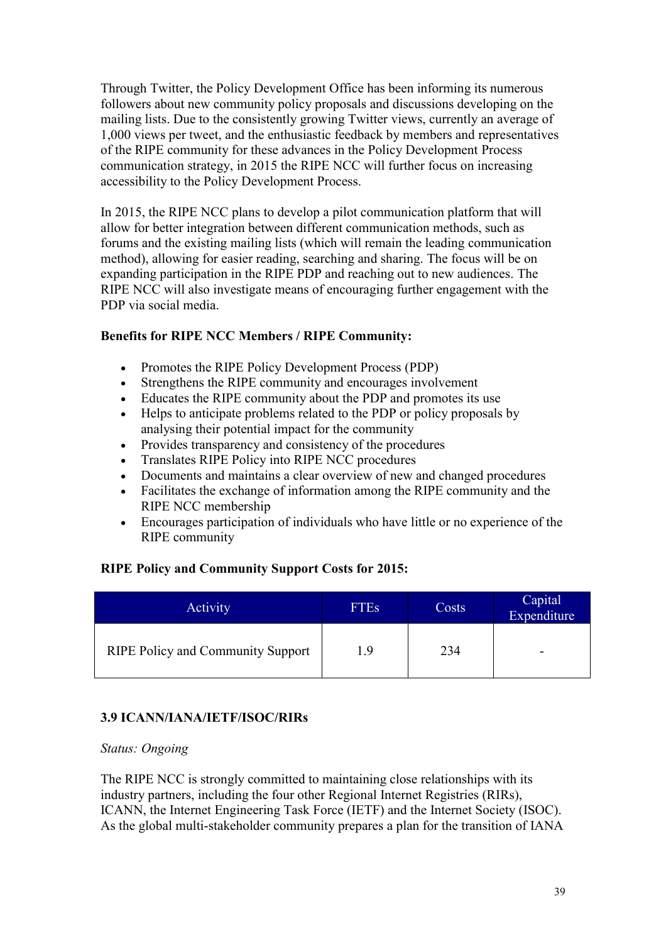Through Twitter, the Policy Development Office has been informing its numerous followers about new community policy proposals and discussions developing on the mailing lists. Due to the consistently growing Twitter views, currently an average of 1,000 views per tweet, and the enthusiastic feedback by members and representatives of the RIPE community for these advances in the Policy Development Process communication strategy, in 2015 the RIPE NCC will further focus on increasing accessibility to the Policy Development Process.

In 2015, the RIPE NCC plans to develop a pilot communication platform that will allow for better integration between different communication methods, such as forums and the existing mailing lists (which will remain the leading communication method), allowing for easier reading, searching and sharing. The focus will be on expanding participation in the RIPE PDP and reaching out to new audiences. The RIPE NCC will also investigate means of encouraging further engagement with the PDP via social media.

# **Benefits for RIPE NCC Members / RIPE Community:**

- Promotes the RIPE Policy Development Process (PDP)
- Strengthens the RIPE community and encourages involvement
- Educates the RIPE community about the PDP and promotes its use
- Helps to anticipate problems related to the PDP or policy proposals by analysing their potential impact for the community
- Provides transparency and consistency of the procedures
- Translates RIPE Policy into RIPE NCC procedures
- Documents and maintains a clear overview of new and changed procedures
- Facilitates the exchange of information among the RIPE community and the RIPE NCC membership
- Encourages participation of individuals who have little or no experience of the RIPE community

# **RIPE Policy and Community Support Costs for 2015:**

| <b>Activity</b>                          | <b>FTES</b> | Costs | Capital<br>Expenditure |
|------------------------------------------|-------------|-------|------------------------|
| <b>RIPE Policy and Community Support</b> | 19          | 234   | -                      |

# <span id="page-38-0"></span>**3.9 ICANN/IANA/IETF/ISOC/RIRs**

#### *Status: Ongoing*

The RIPE NCC is strongly committed to maintaining close relationships with its industry partners, including the four other Regional Internet Registries (RIRs), ICANN, the Internet Engineering Task Force (IETF) and the Internet Society (ISOC). As the global multi-stakeholder community prepares a plan for the transition of IANA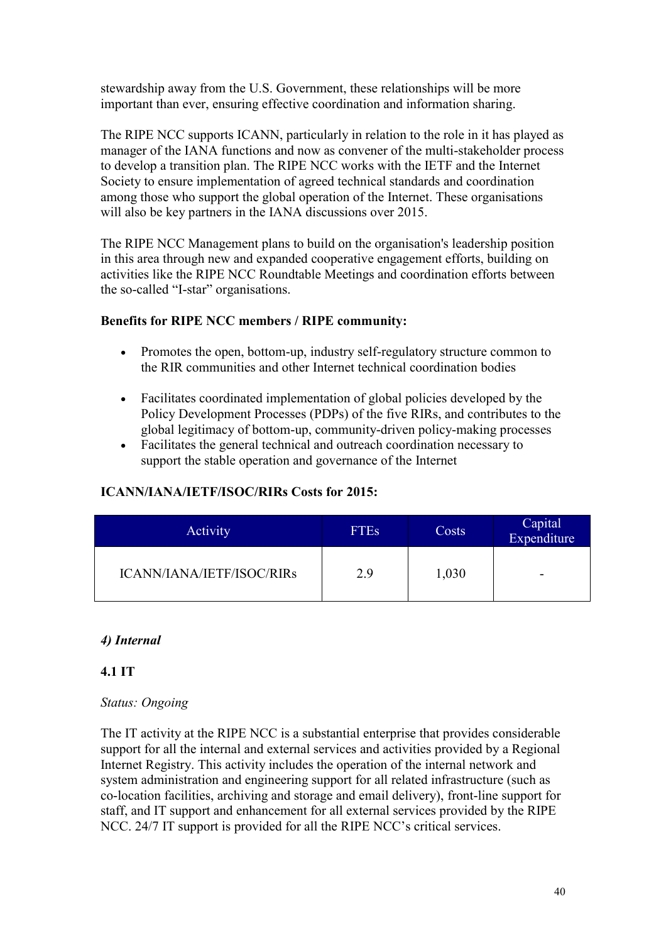stewardship away from the U.S. Government, these relationships will be more important than ever, ensuring effective coordination and information sharing.

The RIPE NCC supports ICANN, particularly in relation to the role in it has played as manager of the IANA functions and now as convener of the multi-stakeholder process to develop a transition plan. The RIPE NCC works with the IETF and the Internet Society to ensure implementation of agreed technical standards and coordination among those who support the global operation of the Internet. These organisations will also be key partners in the IANA discussions over 2015.

The RIPE NCC Management plans to build on the organisation's leadership position in this area through new and expanded cooperative engagement efforts, building on activities like the RIPE NCC Roundtable Meetings and coordination efforts between the so-called "I-star" organisations.

#### **Benefits for RIPE NCC members / RIPE community:**

- Promotes the open, bottom-up, industry self-regulatory structure common to the RIR communities and other Internet technical coordination bodies
- Facilitates coordinated implementation of global policies developed by the Policy Development Processes (PDPs) of the five RIRs, and contributes to the global legitimacy of bottom-up, community-driven policy-making processes
- Facilitates the general technical and outreach coordination necessary to support the stable operation and governance of the Internet

#### **ICANN/IANA/IETF/ISOC/RIRs Costs for 2015:**

| Activity                  | <b>FTES</b> | Costs | Capital<br>Expenditure |
|---------------------------|-------------|-------|------------------------|
| ICANN/IANA/IETF/ISOC/RIRs | 2.9         | 1,030 | -                      |

#### <span id="page-39-0"></span>*4) Internal*

#### <span id="page-39-1"></span>**4.1 IT**

## *Status: Ongoing*

The IT activity at the RIPE NCC is a substantial enterprise that provides considerable support for all the internal and external services and activities provided by a Regional Internet Registry. This activity includes the operation of the internal network and system administration and engineering support for all related infrastructure (such as co-location facilities, archiving and storage and email delivery), front-line support for staff, and IT support and enhancement for all external services provided by the RIPE NCC. 24/7 IT support is provided for all the RIPE NCC's critical services.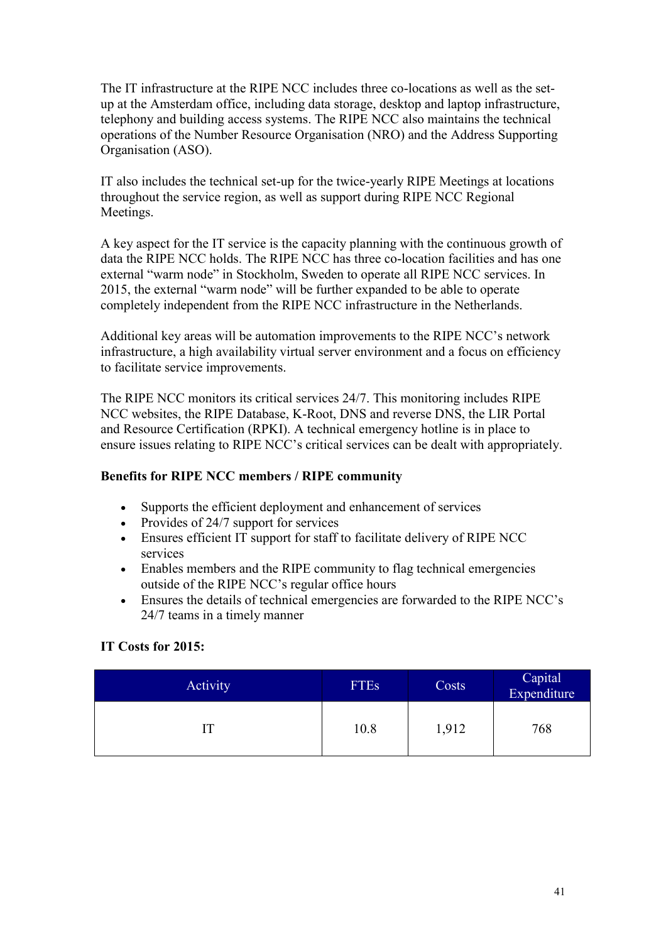The IT infrastructure at the RIPE NCC includes three co-locations as well as the setup at the Amsterdam office, including data storage, desktop and laptop infrastructure, telephony and building access systems. The RIPE NCC also maintains the technical operations of the Number Resource Organisation (NRO) and the Address Supporting Organisation (ASO).

IT also includes the technical set-up for the twice-yearly RIPE Meetings at locations throughout the service region, as well as support during RIPE NCC Regional Meetings.

A key aspect for the IT service is the capacity planning with the continuous growth of data the RIPE NCC holds. The RIPE NCC has three co-location facilities and has one external "warm node" in Stockholm, Sweden to operate all RIPE NCC services. In 2015, the external "warm node" will be further expanded to be able to operate completely independent from the RIPE NCC infrastructure in the Netherlands.

Additional key areas will be automation improvements to the RIPE NCC's network infrastructure, a high availability virtual server environment and a focus on efficiency to facilitate service improvements.

The RIPE NCC monitors its critical services 24/7. This monitoring includes RIPE NCC websites, the RIPE Database, K-Root, DNS and reverse DNS, the LIR Portal and Resource Certification (RPKI). A technical emergency hotline is in place to ensure issues relating to RIPE NCC's critical services can be dealt with appropriately.

#### **Benefits for RIPE NCC members / RIPE community**

- Supports the efficient deployment and enhancement of services
- Provides of 24/7 support for services
- Ensures efficient IT support for staff to facilitate delivery of RIPE NCC services
- Enables members and the RIPE community to flag technical emergencies outside of the RIPE NCC's regular office hours
- Ensures the details of technical emergencies are forwarded to the RIPE NCC's 24/7 teams in a timely manner

# **IT Costs for 2015:**

<span id="page-40-0"></span>

| Activity | <b>FTEs</b> | Costs | Capital<br>Expenditure |
|----------|-------------|-------|------------------------|
|          | 10.8        | 1,912 | 768                    |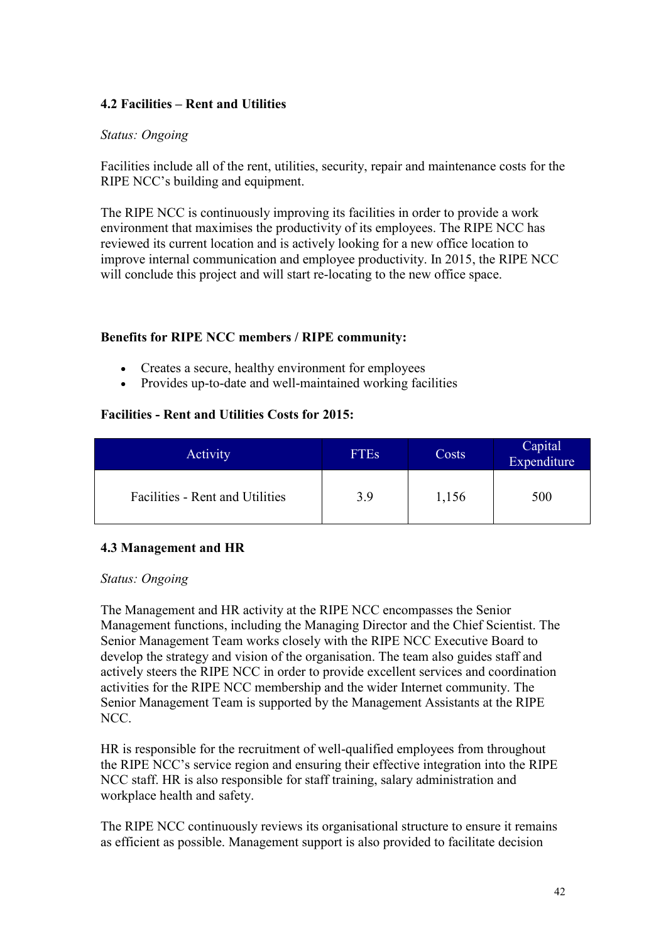#### **4.2 Facilities – Rent and Utilities**

#### *Status: Ongoing*

Facilities include all of the rent, utilities, security, repair and maintenance costs for the RIPE NCC's building and equipment.

The RIPE NCC is continuously improving its facilities in order to provide a work environment that maximises the productivity of its employees. The RIPE NCC has reviewed its current location and is actively looking for a new office location to improve internal communication and employee productivity. In 2015, the RIPE NCC will conclude this project and will start re-locating to the new office space.

#### **Benefits for RIPE NCC members / RIPE community:**

- Creates a secure, healthy environment for employees
- Provides up-to-date and well-maintained working facilities

#### **Facilities - Rent and Utilities Costs for 2015:**

| Activity                        | <b>FTEs</b> | Costs | Capital <sup>1</sup><br>Expenditure |
|---------------------------------|-------------|-------|-------------------------------------|
| Facilities - Rent and Utilities | 3.9         | 1,156 | 500                                 |

#### <span id="page-41-0"></span>**4.3 Management and HR**

#### *Status: Ongoing*

The Management and HR activity at the RIPE NCC encompasses the Senior Management functions, including the Managing Director and the Chief Scientist. The Senior Management Team works closely with the RIPE NCC Executive Board to develop the strategy and vision of the organisation. The team also guides staff and actively steers the RIPE NCC in order to provide excellent services and coordination activities for the RIPE NCC membership and the wider Internet community. The Senior Management Team is supported by the Management Assistants at the RIPE NCC.

HR is responsible for the recruitment of well-qualified employees from throughout the RIPE NCC's service region and ensuring their effective integration into the RIPE NCC staff. HR is also responsible for staff training, salary administration and workplace health and safety.

The RIPE NCC continuously reviews its organisational structure to ensure it remains as efficient as possible. Management support is also provided to facilitate decision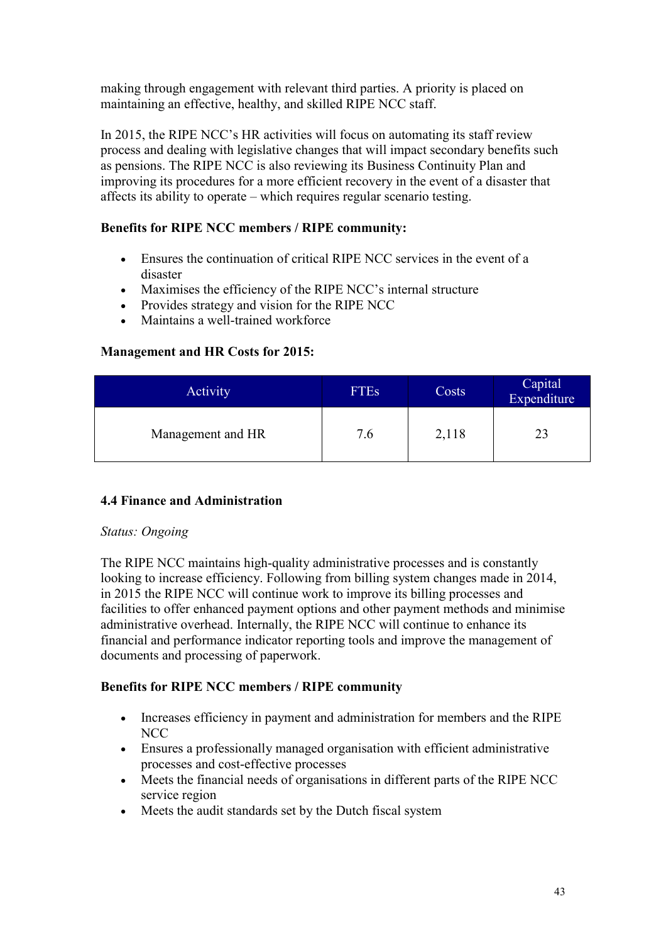making through engagement with relevant third parties. A priority is placed on maintaining an effective, healthy, and skilled RIPE NCC staff.

In 2015, the RIPE NCC's HR activities will focus on automating its staff review process and dealing with legislative changes that will impact secondary benefits such as pensions. The RIPE NCC is also reviewing its Business Continuity Plan and improving its procedures for a more efficient recovery in the event of a disaster that affects its ability to operate – which requires regular scenario testing.

# **Benefits for RIPE NCC members / RIPE community:**

- Ensures the continuation of critical RIPE NCC services in the event of a disaster
- Maximises the efficiency of the RIPE NCC's internal structure
- Provides strategy and vision for the RIPE NCC
- Maintains a well-trained workforce

## **Management and HR Costs for 2015:**

| Activity          | <b>FTES</b> | Costs | Capital<br>Expenditure |
|-------------------|-------------|-------|------------------------|
| Management and HR | 7.6         | 2,118 | 23                     |

# <span id="page-42-0"></span>**4.4 Finance and Administration**

#### *Status: Ongoing*

The RIPE NCC maintains high-quality administrative processes and is constantly looking to increase efficiency. Following from billing system changes made in 2014, in 2015 the RIPE NCC will continue work to improve its billing processes and facilities to offer enhanced payment options and other payment methods and minimise administrative overhead. Internally, the RIPE NCC will continue to enhance its financial and performance indicator reporting tools and improve the management of documents and processing of paperwork.

#### **Benefits for RIPE NCC members / RIPE community**

- Increases efficiency in payment and administration for members and the RIPE NCC
- Ensures a professionally managed organisation with efficient administrative processes and cost-effective processes
- Meets the financial needs of organisations in different parts of the RIPE NCC service region
- Meets the audit standards set by the Dutch fiscal system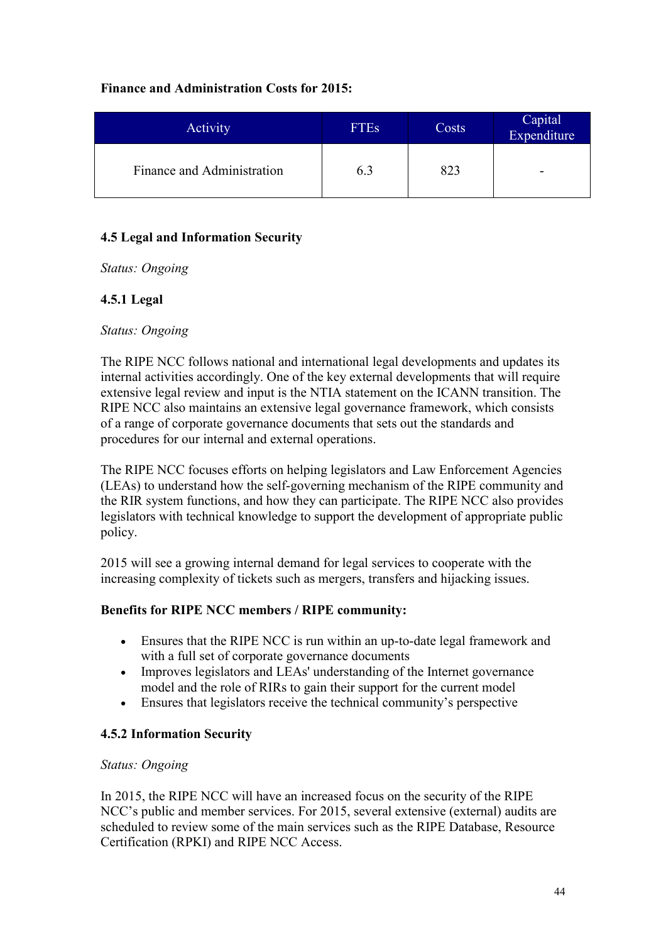#### **Finance and Administration Costs for 2015:**

| Activity                   | <b>FTEs</b> | Costs | Capital<br>Expenditure |
|----------------------------|-------------|-------|------------------------|
| Finance and Administration | 6.3         | 823   | -                      |

# <span id="page-43-0"></span>**4.5 Legal and Information Security**

*Status: Ongoing*

#### **4.5.1 Legal**

#### *Status: Ongoing*

The RIPE NCC follows national and international legal developments and updates its internal activities accordingly. One of the key external developments that will require extensive legal review and input is the NTIA statement on the ICANN transition. The RIPE NCC also maintains an extensive legal governance framework, which consists of a range of corporate governance documents that sets out the standards and procedures for our internal and external operations.

The RIPE NCC focuses efforts on helping legislators and Law Enforcement Agencies (LEAs) to understand how the self-governing mechanism of the RIPE community and the RIR system functions, and how they can participate. The RIPE NCC also provides legislators with technical knowledge to support the development of appropriate public policy.

2015 will see a growing internal demand for legal services to cooperate with the increasing complexity of tickets such as mergers, transfers and hijacking issues.

#### **Benefits for RIPE NCC members / RIPE community:**

- Ensures that the RIPE NCC is run within an up-to-date legal framework and with a full set of corporate governance documents
- Improves legislators and LEAs' understanding of the Internet governance model and the role of RIRs to gain their support for the current model
- Ensures that legislators receive the technical community's perspective

# **4.5.2 Information Security**

#### *Status: Ongoing*

In 2015, the RIPE NCC will have an increased focus on the security of the RIPE NCC's public and member services. For 2015, several extensive (external) audits are scheduled to review some of the main services such as the RIPE Database, Resource Certification (RPKI) and RIPE NCC Access.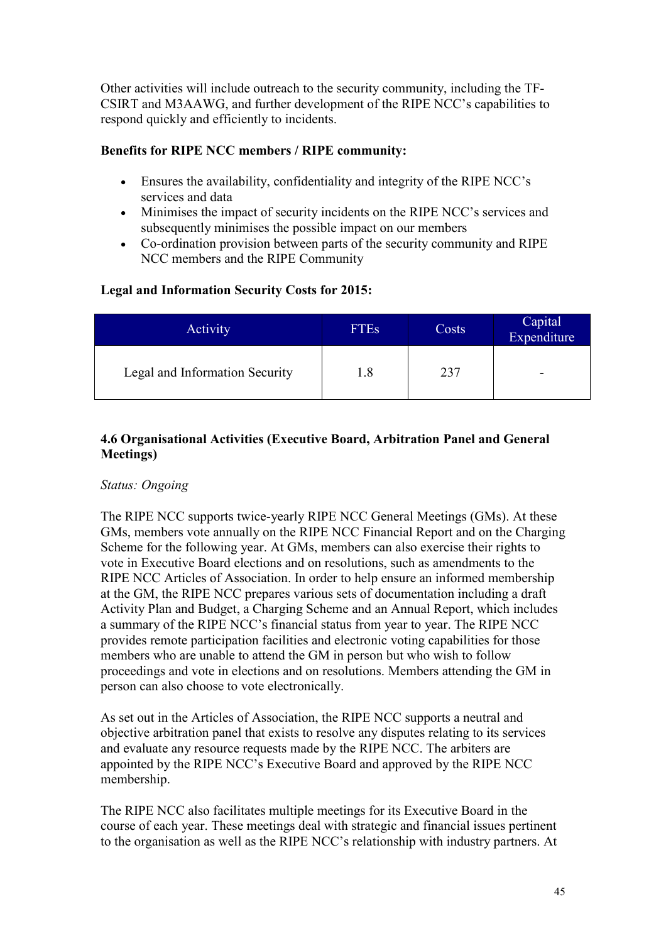Other activities will include outreach to the security community, including the TF-CSIRT and M3AAWG, and further development of the RIPE NCC's capabilities to respond quickly and efficiently to incidents.

#### **Benefits for RIPE NCC members / RIPE community:**

- Ensures the availability, confidentiality and integrity of the RIPE NCC's services and data
- Minimises the impact of security incidents on the RIPE NCC's services and subsequently minimises the possible impact on our members
- Co-ordination provision between parts of the security community and RIPE NCC members and the RIPE Community

## **Legal and Information Security Costs for 2015:**

| <b>Activity</b>                | <b>FTEs</b> | Costs | Capital<br>Expenditure |
|--------------------------------|-------------|-------|------------------------|
| Legal and Information Security | 1.8         | 237   | -                      |

#### <span id="page-44-0"></span>**4.6 Organisational Activities (Executive Board, Arbitration Panel and General Meetings)**

#### *Status: Ongoing*

The RIPE NCC supports twice-yearly RIPE NCC General Meetings (GMs). At these GMs, members vote annually on the RIPE NCC Financial Report and on the Charging Scheme for the following year. At GMs, members can also exercise their rights to vote in Executive Board elections and on resolutions, such as amendments to the RIPE NCC Articles of Association. In order to help ensure an informed membership at the GM, the RIPE NCC prepares various sets of documentation including a draft Activity Plan and Budget, a Charging Scheme and an Annual Report, which includes a summary of the RIPE NCC's financial status from year to year. The RIPE NCC provides remote participation facilities and electronic voting capabilities for those members who are unable to attend the GM in person but who wish to follow proceedings and vote in elections and on resolutions. Members attending the GM in person can also choose to vote electronically.

As set out in the Articles of Association, the RIPE NCC supports a neutral and objective arbitration panel that exists to resolve any disputes relating to its services and evaluate any resource requests made by the RIPE NCC. The arbiters are appointed by the RIPE NCC's Executive Board and approved by the RIPE NCC membership.

The RIPE NCC also facilitates multiple meetings for its Executive Board in the course of each year. These meetings deal with strategic and financial issues pertinent to the organisation as well as the RIPE NCC's relationship with industry partners. At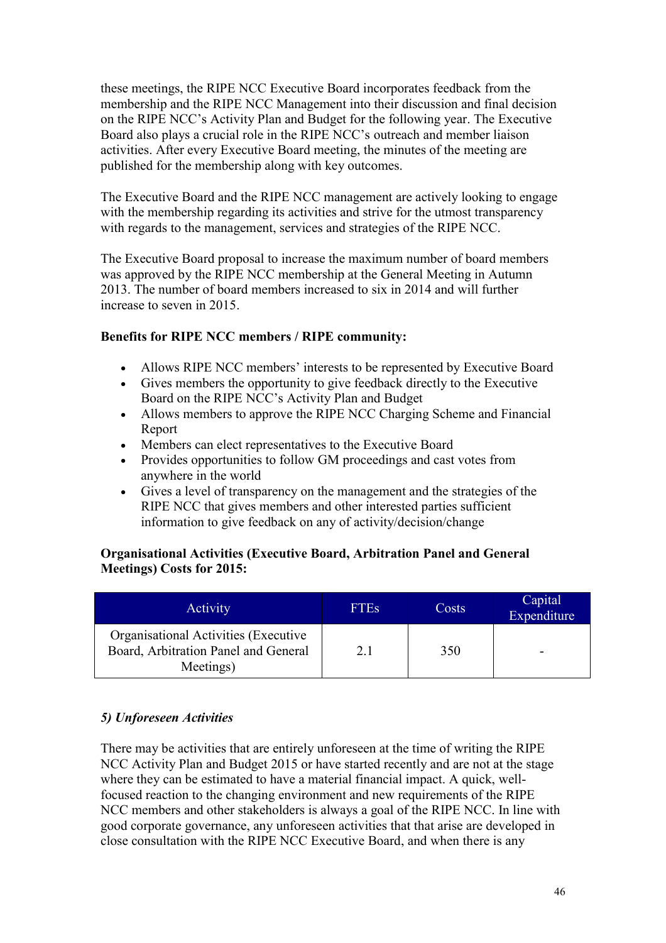these meetings, the RIPE NCC Executive Board incorporates feedback from the membership and the RIPE NCC Management into their discussion and final decision on the RIPE NCC's Activity Plan and Budget for the following year. The Executive Board also plays a crucial role in the RIPE NCC's outreach and member liaison activities. After every Executive Board meeting, the minutes of the meeting are published for the membership along with key outcomes.

The Executive Board and the RIPE NCC management are actively looking to engage with the membership regarding its activities and strive for the utmost transparency with regards to the management, services and strategies of the RIPE NCC.

The Executive Board proposal to increase the maximum number of board members was approved by the RIPE NCC membership at the General Meeting in Autumn 2013. The number of board members increased to six in 2014 and will further increase to seven in 2015.

## **Benefits for RIPE NCC members / RIPE community:**

- Allows RIPE NCC members' interests to be represented by Executive Board
- Gives members the opportunity to give feedback directly to the Executive Board on the RIPE NCC's Activity Plan and Budget
- Allows members to approve the RIPE NCC Charging Scheme and Financial Report
- Members can elect representatives to the Executive Board
- Provides opportunities to follow GM proceedings and cast votes from anywhere in the world
- Gives a level of transparency on the management and the strategies of the RIPE NCC that gives members and other interested parties sufficient information to give feedback on any of activity/decision/change

# **Organisational Activities (Executive Board, Arbitration Panel and General Meetings) Costs for 2015:**

| Activity                                                                                  | <b>FTES</b> | Costs | Capital<br>Expenditure |
|-------------------------------------------------------------------------------------------|-------------|-------|------------------------|
| Organisational Activities (Executive<br>Board, Arbitration Panel and General<br>Meetings) | 2.1         | 350   |                        |

# *5) Unforeseen Activities*

There may be activities that are entirely unforeseen at the time of writing the RIPE NCC Activity Plan and Budget 2015 or have started recently and are not at the stage where they can be estimated to have a material financial impact. A quick, wellfocused reaction to the changing environment and new requirements of the RIPE NCC members and other stakeholders is always a goal of the RIPE NCC. In line with good corporate governance, any unforeseen activities that that arise are developed in close consultation with the RIPE NCC Executive Board, and when there is any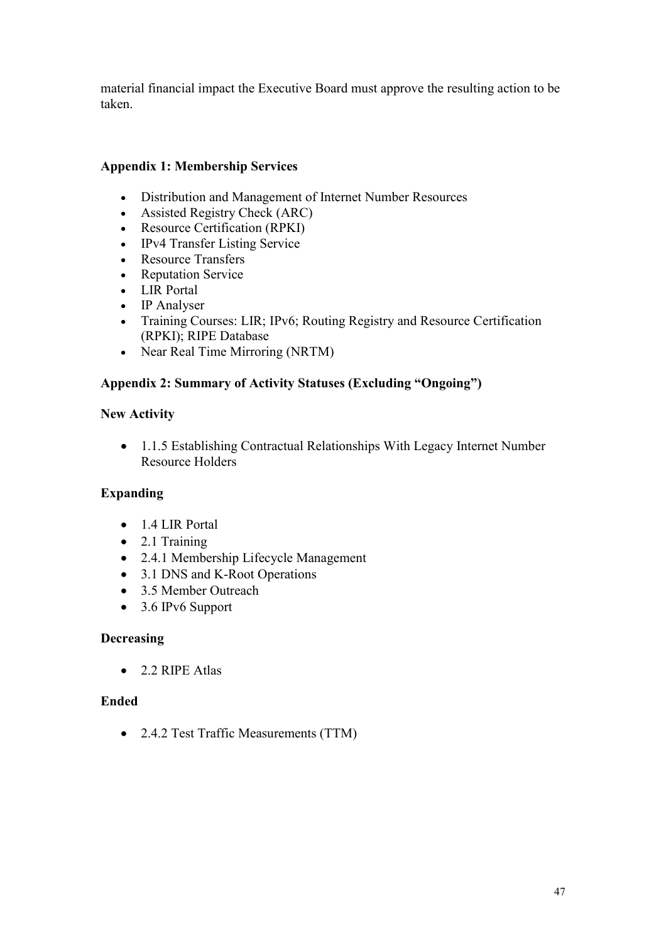material financial impact the Executive Board must approve the resulting action to be taken.

# **Appendix 1: Membership Services**

- Distribution and Management of Internet Number Resources
- Assisted Registry Check (ARC)
- Resource Certification (RPKI)
- IPv4 Transfer Listing Service
- Resource Transfers
- Reputation Service
- LIR Portal
- IP Analyser
- Training Courses: LIR; IPv6; Routing Registry and Resource Certification (RPKI); RIPE Database
- Near Real Time Mirroring (NRTM)

## **Appendix 2: Summary of Activity Statuses (Excluding "Ongoing")**

#### **New Activity**

• 1.1.5 Establishing Contractual Relationships With Legacy Internet Number Resource Holders

# **Expanding**

- 1.4 LIR Portal
- $\bullet$  2.1 Training
- 2.4.1 Membership Lifecycle Management
- 3.1 DNS and K-Root Operations
- 3.5 Member Outreach
- 3.6 IPv6 Support

#### **Decreasing**

 $\bullet$  2.2 RIPE Atlas

#### **Ended**

• 2.4.2 Test Traffic Measurements (TTM)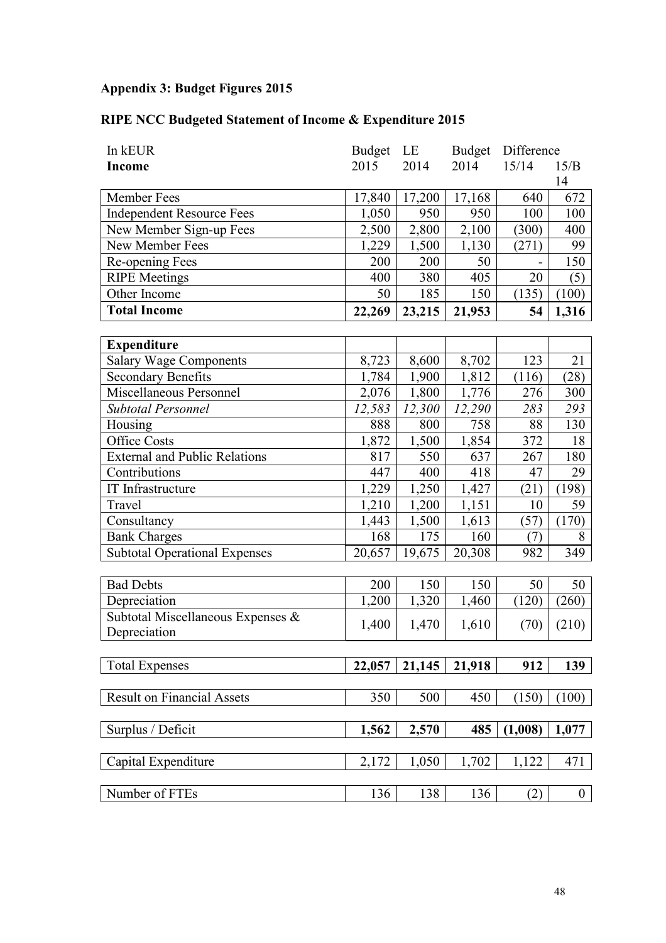# **Appendix 3: Budget Figures 2015**

# **RIPE NCC Budgeted Statement of Income & Expenditure 2015**

| In kEUR                              | <b>Budget</b> | LE                 | Budget | Difference |              |
|--------------------------------------|---------------|--------------------|--------|------------|--------------|
| <b>Income</b>                        | 2015          | 2014               | 2014   | 15/14      | 15/B         |
|                                      |               |                    |        |            | 14           |
| Member Fees                          | 17,840        | 17,200             | 17,168 | 640        | 672          |
| <b>Independent Resource Fees</b>     | 1,050         | 950                | 950    | 100        | 100          |
| New Member Sign-up Fees              | 2,500         | 2,800              | 2,100  | (300)      | 400          |
| New Member Fees                      | 1,229         | 1,500              | 1,130  | (271)      | 99           |
| Re-opening Fees                      | 200           | 200                | 50     |            | 150          |
| <b>RIPE</b> Meetings                 | 400           | 380                | 405    | 20         | (5)          |
| Other Income                         | 50            | 185                | 150    | (135)      | (100)        |
| <b>Total Income</b>                  | 22,269        | 23,215             | 21,953 | 54         | 1,316        |
|                                      |               |                    |        |            |              |
| <b>Expenditure</b>                   |               |                    |        |            |              |
| <b>Salary Wage Components</b>        | 8,723         | 8,600              | 8,702  | 123        | 21           |
| <b>Secondary Benefits</b>            | 1,784         | 1,900              | 1,812  | (116)      | (28)         |
| Miscellaneous Personnel              | 2,076         | 1,800              | 1,776  | 276        | 300          |
| <b>Subtotal Personnel</b>            | 12,583        | 12,300             | 12,290 | 283        | 293          |
| Housing                              | 888           | 800                | 758    | 88         | 130          |
| Office Costs                         | 1,872         | 1,500              | 1,854  | 372        | 18           |
| <b>External and Public Relations</b> | 817           | 550                | 637    | 267        | 180          |
| Contributions                        | 447           | 400                | 418    | 47         | 29           |
| IT Infrastructure                    | 1,229         | $\overline{1,250}$ | 1,427  | (21)       | (198)        |
| Travel                               | 1,210         | 1,200              | 1,151  | 10         | 59           |
| Consultancy                          | 1,443         | 1,500              | 1,613  | (57)       | (170)        |
| <b>Bank Charges</b>                  | 168           | 175                | 160    | (7)        | 8            |
| <b>Subtotal Operational Expenses</b> | 20,657        | 19,675             | 20,308 | 982        | 349          |
|                                      |               |                    |        |            |              |
| <b>Bad Debts</b>                     | 200           | 150                | 150    | 50         | 50           |
| Depreciation                         | 1,200         | 1,320              | 1,460  | (120)      | (260)        |
| Subtotal Miscellaneous Expenses &    | 1,400         | 1,470              | 1,610  | (70)       | (210)        |
| Depreciation                         |               |                    |        |            |              |
|                                      |               |                    |        |            |              |
| <b>Total Expenses</b>                | 22,057        | 21,145             | 21,918 | 912        | 139          |
| <b>Result on Financial Assets</b>    |               |                    |        |            |              |
|                                      | 350           | 500                | 450    | (150)      | (100)        |
| Surplus / Deficit                    | 1,562         | 2,570              | 485    | (1,008)    | 1,077        |
|                                      |               |                    |        |            |              |
| Capital Expenditure                  | 2,172         | 1,050              | 1,702  | 1,122      | 471          |
|                                      |               |                    |        |            |              |
| Number of FTEs                       | 136           | 138                | 136    | (2)        | $\mathbf{0}$ |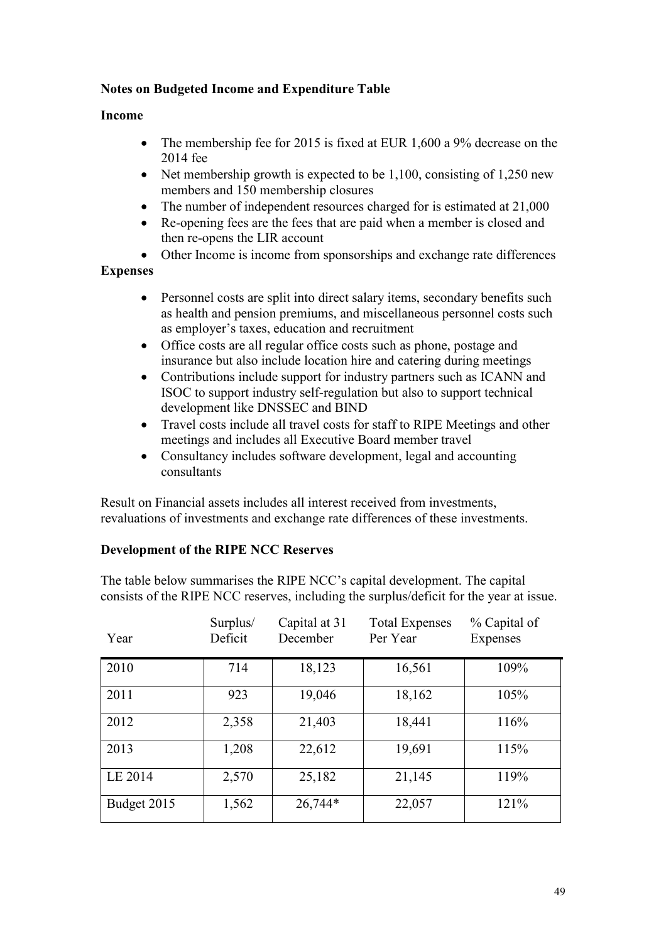## **Notes on Budgeted Income and Expenditure Table**

#### **Income**

- The membership fee for 2015 is fixed at EUR 1,600 a 9% decrease on the 2014 fee
- Net membership growth is expected to be  $1,100$ , consisting of  $1,250$  new members and 150 membership closures
- The number of independent resources charged for is estimated at 21,000
- Re-opening fees are the fees that are paid when a member is closed and then re-opens the LIR account
- Other Income is income from sponsorships and exchange rate differences

#### **Expenses**

- Personnel costs are split into direct salary items, secondary benefits such as health and pension premiums, and miscellaneous personnel costs such as employer's taxes, education and recruitment
- Office costs are all regular office costs such as phone, postage and insurance but also include location hire and catering during meetings
- Contributions include support for industry partners such as ICANN and ISOC to support industry self-regulation but also to support technical development like DNSSEC and BIND
- Travel costs include all travel costs for staff to RIPE Meetings and other meetings and includes all Executive Board member travel
- Consultancy includes software development, legal and accounting consultants

Result on Financial assets includes all interest received from investments, revaluations of investments and exchange rate differences of these investments.

#### **Development of the RIPE NCC Reserves**

The table below summarises the RIPE NCC's capital development. The capital consists of the RIPE NCC reserves, including the surplus/deficit for the year at issue.

| Year        | Surplus/<br>Deficit | Capital at 31<br>December | <b>Total Expenses</b><br>Per Year | % Capital of<br>Expenses |
|-------------|---------------------|---------------------------|-----------------------------------|--------------------------|
| 2010        | 714                 | 18,123                    | 16,561                            | 109%                     |
| 2011        | 923                 | 19,046                    | 18,162                            | 105%                     |
| 2012        | 2,358               | 21,403                    | 18,441                            | 116%                     |
| 2013        | 1,208               | 22,612                    | 19,691                            | 115%                     |
| LE 2014     | 2,570               | 25,182                    | 21,145                            | 119%                     |
| Budget 2015 | 1,562               | 26,744*                   | 22,057                            | 121%                     |